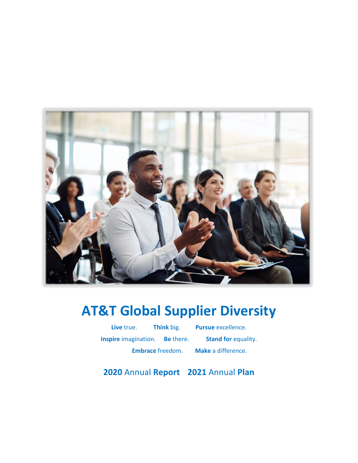

# **AT&T Global Supplier Diversity**

**Live** true. **Think** big. **Pursue** excellence. **Inspire** imagination. **Be** there. **Stand for** equality. **Embrace** freedom. **Make** a difference.

**2020** Annual **Report 2021** Annual **Plan**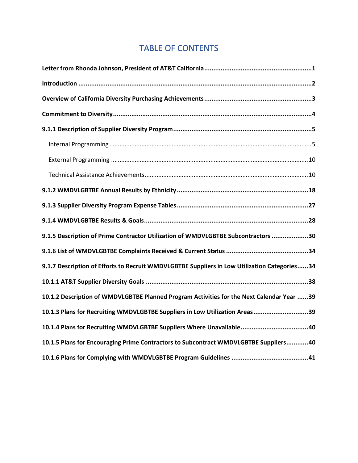# TABLE OF CONTENTS

| 9.1.5 Description of Prime Contractor Utilization of WMDVLGBTBE Subcontractors 30            |
|----------------------------------------------------------------------------------------------|
|                                                                                              |
| 9.1.7 Description of Efforts to Recruit WMDVLGBTBE Suppliers in Low Utilization Categories34 |
|                                                                                              |
| 10.1.2 Description of WMDVLGBTBE Planned Program Activities for the Next Calendar Year 39    |
| 10.1.3 Plans for Recruiting WMDVLGBTBE Suppliers in Low Utilization Areas39                  |
| 10.1.4 Plans for Recruiting WMDVLGBTBE Suppliers Where Unavailable40                         |
| 10.1.5 Plans for Encouraging Prime Contractors to Subcontract WMDVLGBTBE Suppliers40         |
|                                                                                              |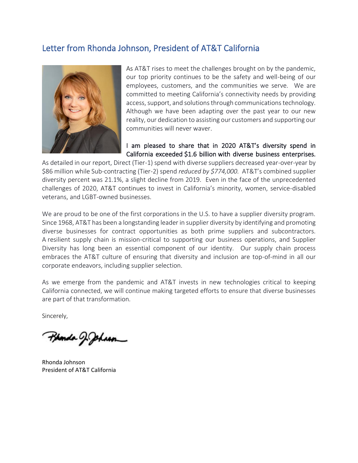### <span id="page-2-0"></span>Letter from Rhonda Johnson, President of AT&T California



As AT&T rises to meet the challenges brought on by the pandemic, our top priority continues to be the safety and well-being of our employees, customers, and the communities we serve. We are committed to meeting California's connectivity needs by providing access, support, and solutions through communications technology. Although we have been adapting over the past year to our new reality, our dedication to assisting our customers and supporting our communities will never waver.

#### I am pleased to share that in 2020 AT&T's diversity spend in California exceeded \$1.6 billion with diverse business enterprises.

As detailed in our report, Direct (Tier-1) spend with diverse suppliers decreased year-over-year by \$86 million while Sub-contracting (Tier-2) spend *reduced by \$774,000.* AT&T's combined supplier diversity percent was 21.1%, a slight decline from 2019. Even in the face of the unprecedented challenges of 2020, AT&T continues to invest in California's minority, women, service-disabled veterans, and LGBT-owned businesses.

We are proud to be one of the first corporations in the U.S. to have a supplier diversity program. Since 1968, AT&T has been a longstanding leader in supplier diversity by identifying and promoting diverse businesses for contract opportunities as both prime suppliers and subcontractors. A resilient supply chain is mission-critical to supporting our business operations, and Supplier Diversity has long been an essential component of our identity. Our supply chain process embraces the AT&T culture of ensuring that diversity and inclusion are top-of-mind in all our corporate endeavors, including supplier selection.

As we emerge from the pandemic and AT&T invests in new technologies critical to keeping California connected, we will continue making targeted efforts to ensure that diverse businesses are part of that transformation*.*

Sincerely,

P**ponda** J. Johan

Rhonda Johnson President of AT&T California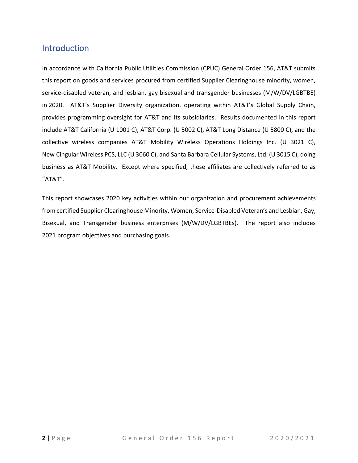### <span id="page-3-0"></span>Introduction

In accordance with California Public Utilities Commission (CPUC) General Order 156, AT&T submits this report on goods and services procured from certified Supplier Clearinghouse minority, women, service-disabled veteran, and lesbian, gay bisexual and transgender businesses (M/W/DV/LGBTBE) in 2020. AT&T's Supplier Diversity organization, operating within AT&T's Global Supply Chain, provides programming oversight for AT&T and its subsidiaries. Results documented in this report include AT&T California (U 1001 C), AT&T Corp. (U 5002 C), AT&T Long Distance (U 5800 C), and the collective wireless companies AT&T Mobility Wireless Operations Holdings Inc. (U 3021 C), New Cingular Wireless PCS, LLC (U 3060 C), and Santa Barbara Cellular Systems, Ltd. (U 3015 C), doing business as AT&T Mobility. Except where specified, these affiliates are collectively referred to as "AT&T".

This report showcases 2020 key activities within our organization and procurement achievements from certified Supplier Clearinghouse Minority, Women, Service-Disabled Veteran's and Lesbian, Gay, Bisexual, and Transgender business enterprises (M/W/DV/LGBTBEs). The report also includes 2021 program objectives and purchasing goals.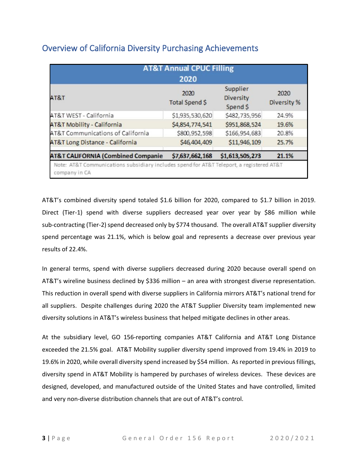<span id="page-4-0"></span>

| <b>Overview of California Diversity Purchasing Achievements</b> |  |  |
|-----------------------------------------------------------------|--|--|
|-----------------------------------------------------------------|--|--|

|                                                                                                           | <b>AT&amp;T Annual CPUC Filling</b><br>2020 |                                          |                     |
|-----------------------------------------------------------------------------------------------------------|---------------------------------------------|------------------------------------------|---------------------|
| AT&T                                                                                                      | 2020<br>Total Spend \$                      | Supplier<br><b>Diversity</b><br>Spend \$ | 2020<br>Diversity % |
| AT&T WEST - California                                                                                    | \$1,935,530,620                             | \$482,735,956                            | 24.9%               |
| <b>AT&amp;T Mobility - California</b>                                                                     | \$4,854,774,541                             | \$951,868,524                            | 19.6%               |
| AT&T Communications of California                                                                         | \$800,952,598                               | \$166,954,683                            | 20.8%               |
| <b>AT&amp;T Long Distance - California</b>                                                                | \$46,404,409                                | \$11,946,109                             | 25.7%               |
| <b>AT&amp;T CALIFORNIA (Combined Companie</b>                                                             | \$7,637,662,168                             | \$1,613,505,273                          | 21.1%               |
| Note: AT&T Communications subsidiary includes spend for AT&T Teleport, a registered AT&T<br>company in CA |                                             |                                          |                     |

AT&T's combined diversity spend totaled \$1.6 billion for 2020, compared to \$1.7 billion in 2019. Direct (Tier-1) spend with diverse suppliers decreased year over year by \$86 million while sub-contracting (Tier-2) spend decreased only by \$774 thousand. The overall AT&T supplier diversity spend percentage was 21.1%, which is below goal and represents a decrease over previous year results of 22.4%.

In general terms, spend with diverse suppliers decreased during 2020 because overall spend on AT&T's wireline business declined by \$336 million – an area with strongest diverse representation. This reduction in overall spend with diverse suppliers in California mirrors AT&T's national trend for all suppliers. Despite challenges during 2020 the AT&T Supplier Diversity team implemented new diversity solutions in AT&T's wireless business that helped mitigate declines in other areas.

At the subsidiary level, GO 156‐reporting companies AT&T California and AT&T Long Distance exceeded the 21.5% goal. AT&T Mobility supplier diversity spend improved from 19.4% in 2019 to 19.6% in 2020, while overall diversity spend increased by \$54 million. As reported in previous fillings, diversity spend in AT&T Mobility is hampered by purchases of wireless devices. These devices are designed, developed, and manufactured outside of the United States and have controlled, limited and very non-diverse distribution channels that are out of AT&T's control.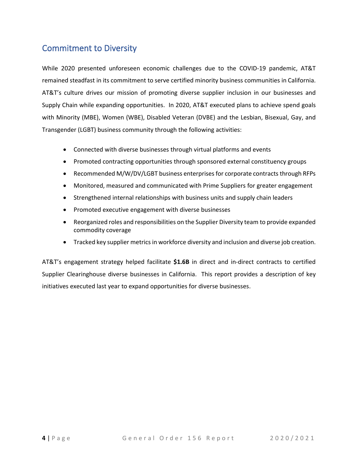### <span id="page-5-0"></span>Commitment to Diversity

While 2020 presented unforeseen economic challenges due to the COVID-19 pandemic, AT&T remained steadfast in its commitment to serve certified minority business communities in California. AT&T's culture drives our mission of promoting diverse supplier inclusion in our businesses and Supply Chain while expanding opportunities. In 2020, AT&T executed plans to achieve spend goals with Minority (MBE), Women (WBE), Disabled Veteran (DVBE) and the Lesbian, Bisexual, Gay, and Transgender (LGBT) business community through the following activities:

- Connected with diverse businesses through virtual platforms and events
- Promoted contracting opportunities through sponsored external constituency groups
- Recommended M/W/DV/LGBT business enterprises for corporate contracts through RFPs
- Monitored, measured and communicated with Prime Suppliers for greater engagement
- Strengthened internal relationships with business units and supply chain leaders
- Promoted executive engagement with diverse businesses
- Reorganized roles and responsibilities on the Supplier Diversity team to provide expanded commodity coverage
- Tracked key supplier metrics in workforce diversity and inclusion and diverse job creation.

AT&T's engagement strategy helped facilitate **\$1.6B** in direct and in-direct contracts to certified Supplier Clearinghouse diverse businesses in California. This report provides a description of key initiatives executed last year to expand opportunities for diverse businesses.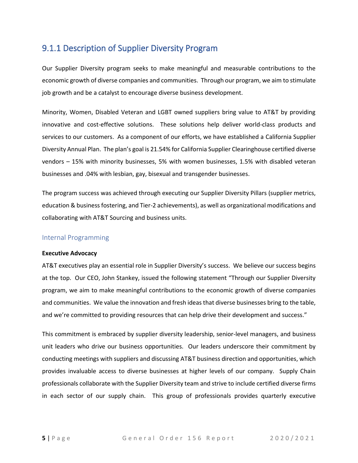### <span id="page-6-0"></span>9.1.1 Description of Supplier Diversity Program

Our Supplier Diversity program seeks to make meaningful and measurable contributions to the economic growth of diverse companies and communities. Through our program, we aim to stimulate job growth and be a catalyst to encourage diverse business development.

Minority, Women, Disabled Veteran and LGBT owned suppliers bring value to AT&T by providing innovative and cost-effective solutions. These solutions help deliver world-class products and services to our customers. As a component of our efforts, we have established a California Supplier Diversity Annual Plan. The plan's goal is 21.54% for California Supplier Clearinghouse certified diverse vendors – 15% with minority businesses, 5% with women businesses, 1.5% with disabled veteran businesses and .04% with lesbian, gay, bisexual and transgender businesses.

The program success was achieved through executing our Supplier Diversity Pillars (supplier metrics, education & business fostering, and Tier-2 achievements), as well as organizational modifications and collaborating with AT&T Sourcing and business units.

#### <span id="page-6-1"></span>Internal Programming

#### **Executive Advocacy**

AT&T executives play an essential role in Supplier Diversity's success. We believe our success begins at the top. Our CEO, John Stankey, issued the following statement "Through our Supplier Diversity program, we aim to make meaningful contributions to the economic growth of diverse companies and communities. We value the innovation and fresh ideas that diverse businesses bring to the table, and we're committed to providing resources that can help drive their development and success."

This commitment is embraced by supplier diversity leadership, senior-level managers, and business unit leaders who drive our business opportunities. Our leaders underscore their commitment by conducting meetings with suppliers and discussing AT&T business direction and opportunities, which provides invaluable access to diverse businesses at higher levels of our company. Supply Chain professionals collaborate with the Supplier Diversity team and strive to include certified diverse firms in each sector of our supply chain. This group of professionals provides quarterly executive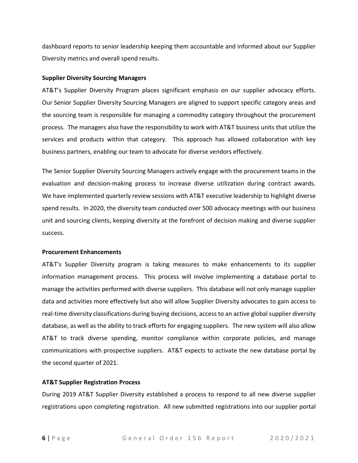dashboard reports to senior leadership keeping them accountable and informed about our Supplier Diversity metrics and overall spend results.

#### **Supplier Diversity Sourcing Managers**

AT&T's Supplier Diversity Program places significant emphasis on our supplier advocacy efforts. Our Senior Supplier Diversity Sourcing Managers are aligned to support specific category areas and the sourcing team is responsible for managing a commodity category throughout the procurement process. The managers also have the responsibility to work with AT&T business units that utilize the services and products within that category. This approach has allowed collaboration with key business partners, enabling our team to advocate for diverse vendors effectively.

The Senior Supplier Diversity Sourcing Managers actively engage with the procurement teams in the evaluation and decision-making process to increase diverse utilization during contract awards. We have implemented quarterly review sessions with AT&T executive leadership to highlight diverse spend results. In 2020, the diversity team conducted over 500 advocacy meetings with our business unit and sourcing clients, keeping diversity at the forefront of decision making and diverse supplier success.

#### **Procurement Enhancements**

AT&T's Supplier Diversity program is taking measures to make enhancements to its supplier information management process. This process will involve implementing a database portal to manage the activities performed with diverse suppliers. This database will not only manage supplier data and activities more effectively but also will allow Supplier Diversity advocates to gain access to real-time diversity classifications during buying decisions, access to an active global supplier diversity database, as well as the ability to track efforts for engaging suppliers. The new system will also allow AT&T to track diverse spending, monitor compliance within corporate policies, and manage communications with prospective suppliers. AT&T expects to activate the new database portal by the second quarter of 2021.

#### **AT&T Supplier Registration Process**

During 2019 AT&T Supplier Diversity established a process to respond to all new diverse supplier registrations upon completing registration. All new submitted registrations into our supplier portal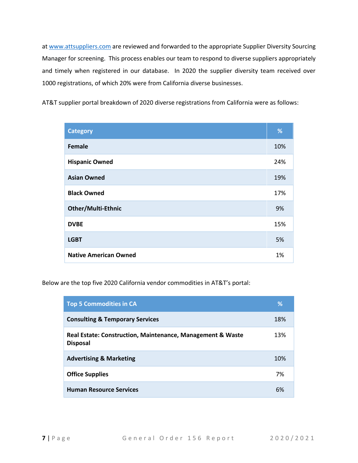at [www.attsuppliers.com](http://www.attsuppliers.com/) are reviewed and forwarded to the appropriate Supplier Diversity Sourcing Manager for screening. This process enables our team to respond to diverse suppliers appropriately and timely when registered in our database. In 2020 the supplier diversity team received over 1000 registrations, of which 20% were from California diverse businesses.

AT&T supplier portal breakdown of 2020 diverse registrations from California were as follows:

| <b>Category</b>              | %   |
|------------------------------|-----|
| Female                       | 10% |
| <b>Hispanic Owned</b>        | 24% |
| <b>Asian Owned</b>           | 19% |
| <b>Black Owned</b>           | 17% |
| <b>Other/Multi-Ethnic</b>    | 9%  |
| <b>DVBE</b>                  | 15% |
| <b>LGBT</b>                  | 5%  |
| <b>Native American Owned</b> | 1%  |

Below are the top five 2020 California vendor commodities in AT&T's portal:

| <b>Top 5 Commodities in CA</b>                                                | ℅   |
|-------------------------------------------------------------------------------|-----|
| <b>Consulting &amp; Temporary Services</b>                                    | 18% |
| Real Estate: Construction, Maintenance, Management & Waste<br><b>Disposal</b> | 13% |
| <b>Advertising &amp; Marketing</b>                                            | 10% |
| <b>Office Supplies</b>                                                        | 7%  |
| <b>Human Resource Services</b>                                                | 6%  |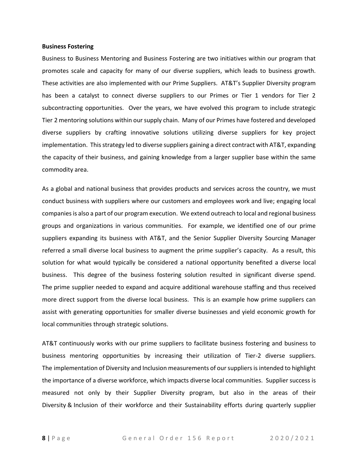#### **Business Fostering**

Business to Business Mentoring and Business Fostering are two initiatives within our program that promotes scale and capacity for many of our diverse suppliers, which leads to business growth. These activities are also implemented with our Prime Suppliers. AT&T's Supplier Diversity program has been a catalyst to connect diverse suppliers to our Primes or Tier 1 vendors for Tier 2 subcontracting opportunities. Over the years, we have evolved this program to include strategic Tier 2 mentoring solutions within our supply chain. Many of our Primes have fostered and developed diverse suppliers by crafting innovative solutions utilizing diverse suppliers for key project implementation. This strategy led to diverse suppliers gaining a direct contract with AT&T, expanding the capacity of their business, and gaining knowledge from a larger supplier base within the same commodity area.

As a global and national business that provides products and services across the country, we must conduct business with suppliers where our customers and employees work and live; engaging local companies is also a part of our program execution. We extend outreach to local and regional business groups and organizations in various communities. For example, we identified one of our prime suppliers expanding its business with AT&T, and the Senior Supplier Diversity Sourcing Manager referred a small diverse local business to augment the prime supplier's capacity. As a result, this solution for what would typically be considered a national opportunity benefited a diverse local business. This degree of the business fostering solution resulted in significant diverse spend. The prime supplier needed to expand and acquire additional warehouse staffing and thus received more direct support from the diverse local business. This is an example how prime suppliers can assist with generating opportunities for smaller diverse businesses and yield economic growth for local communities through strategic solutions.

AT&T continuously works with our prime suppliers to facilitate business fostering and business to business mentoring opportunities by increasing their utilization of Tier-2 diverse suppliers. The implementation of Diversity and Inclusion measurements of our suppliers is intended to highlight the importance of a diverse workforce, which impacts diverse local communities. Supplier success is measured not only by their Supplier Diversity program, but also in the areas of their Diversity & Inclusion of their workforce and their Sustainability efforts during quarterly supplier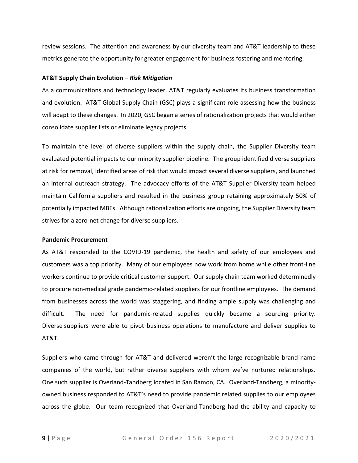review sessions. The attention and awareness by our diversity team and AT&T leadership to these metrics generate the opportunity for greater engagement for business fostering and mentoring.

#### **AT&T Supply Chain Evolution –** *Risk Mitigation*

As a communications and technology leader, AT&T regularly evaluates its business transformation and evolution. AT&T Global Supply Chain (GSC) plays a significant role assessing how the business will adapt to these changes. In 2020, GSC began a series of rationalization projects that would either consolidate supplier lists or eliminate legacy projects.

To maintain the level of diverse suppliers within the supply chain, the Supplier Diversity team evaluated potential impacts to our minority supplier pipeline. The group identified diverse suppliers at risk for removal, identified areas of risk that would impact several diverse suppliers, and launched an internal outreach strategy. The advocacy efforts of the AT&T Supplier Diversity team helped maintain California suppliers and resulted in the business group retaining approximately 50% of potentially impacted MBEs. Although rationalization efforts are ongoing, the Supplier Diversity team strives for a zero-net change for diverse suppliers.

#### **Pandemic Procurement**

As AT&T responded to the COVID-19 pandemic, the health and safety of our employees and customers was a top priority. Many of our employees now work from home while other front-line workers continue to provide critical customer support. Our supply chain team worked determinedly to procure non-medical grade pandemic-related suppliers for our frontline employees. The demand from businesses across the world was staggering, and finding ample supply was challenging and difficult. The need for pandemic-related supplies quickly became a sourcing priority. Diverse suppliers were able to pivot business operations to manufacture and deliver supplies to AT&T.

Suppliers who came through for AT&T and delivered weren't the large recognizable brand name companies of the world, but rather diverse suppliers with whom we've nurtured relationships. One such supplier is Overland-Tandberg located in San Ramon, CA. Overland-Tandberg, a minorityowned business responded to AT&T's need to provide pandemic related supplies to our employees across the globe. Our team recognized that Overland-Tandberg had the ability and capacity to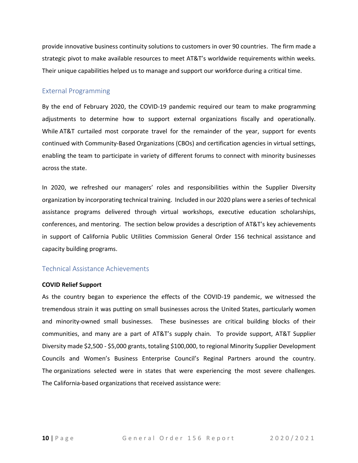provide innovative business continuity solutions to customers in over 90 countries. The firm made a strategic pivot to make available resources to meet AT&T's worldwide requirements within weeks. Their unique capabilities helped us to manage and support our workforce during a critical time.

#### <span id="page-11-0"></span>External Programming

By the end of February 2020, the COVID-19 pandemic required our team to make programming adjustments to determine how to support external organizations fiscally and operationally. While AT&T curtailed most corporate travel for the remainder of the year, support for events continued with Community-Based Organizations (CBOs) and certification agencies in virtual settings, enabling the team to participate in variety of different forums to connect with minority businesses across the state.

In 2020, we refreshed our managers' roles and responsibilities within the Supplier Diversity organization by incorporating technical training. Included in our 2020 plans were a series of technical assistance programs delivered through virtual workshops, executive education scholarships, conferences, and mentoring. The section below provides a description of AT&T's key achievements in support of California Public Utilities Commission General Order 156 technical assistance and capacity building programs.

#### <span id="page-11-1"></span>Technical Assistance Achievements

#### **COVID Relief Support**

As the country began to experience the effects of the COVID-19 pandemic, we witnessed the tremendous strain it was putting on small businesses across the United States, particularly women and minority-owned small businesses. These businesses are critical building blocks of their communities, and many are a part of AT&T's supply chain. To provide support, AT&T Supplier Diversity made \$2,500 - \$5,000 grants, totaling \$100,000, to regional Minority Supplier Development Councils and Women's Business Enterprise Council's Reginal Partners around the country. The organizations selected were in states that were experiencing the most severe challenges. The California-based organizations that received assistance were: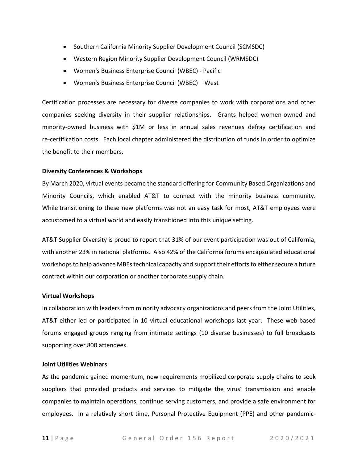- Southern California Minority Supplier Development Council (SCMSDC)
- Western Region Minority Supplier Development Council (WRMSDC)
- Women's Business Enterprise Council (WBEC) Pacific
- Women's Business Enterprise Council (WBEC) West

Certification processes are necessary for diverse companies to work with corporations and other companies seeking diversity in their supplier relationships. Grants helped women-owned and minority-owned business with \$1M or less in annual sales revenues defray certification and re-certification costs. Each local chapter administered the distribution of funds in order to optimize the benefit to their members.

#### **Diversity Conferences & Workshops**

By March 2020, virtual events became the standard offering for Community Based Organizations and Minority Councils, which enabled AT&T to connect with the minority business community. While transitioning to these new platforms was not an easy task for most, AT&T employees were accustomed to a virtual world and easily transitioned into this unique setting.

AT&T Supplier Diversity is proud to report that 31% of our event participation was out of California, with another 23% in national platforms. Also 42% of the California forums encapsulated educational workshops to help advance MBEs technical capacity and support their efforts to either secure a future contract within our corporation or another corporate supply chain.

#### **Virtual Workshops**

In collaboration with leaders from minority advocacy organizations and peers from the Joint Utilities, AT&T either led or participated in 10 virtual educational workshops last year. These web-based forums engaged groups ranging from intimate settings (10 diverse businesses) to full broadcasts supporting over 800 attendees.

#### **Joint Utilities Webinars**

As the pandemic gained momentum, new requirements mobilized corporate supply chains to seek suppliers that provided products and services to mitigate the virus' transmission and enable companies to maintain operations, continue serving customers, and provide a safe environment for employees. In a relatively short time, Personal Protective Equipment (PPE) and other pandemic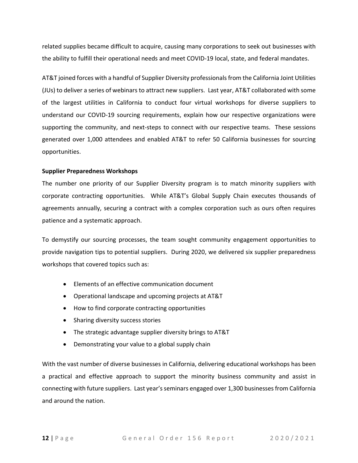related supplies became difficult to acquire, causing many corporations to seek out businesses with the ability to fulfill their operational needs and meet COVID-19 local, state, and federal mandates.

AT&T joined forces with a handful of Supplier Diversity professionals from the California Joint Utilities (JUs) to deliver a series of webinars to attract new suppliers. Last year, AT&T collaborated with some of the largest utilities in California to conduct four virtual workshops for diverse suppliers to understand our COVID-19 sourcing requirements, explain how our respective organizations were supporting the community, and next-steps to connect with our respective teams. These sessions generated over 1,000 attendees and enabled AT&T to refer 50 California businesses for sourcing opportunities.

#### **Supplier Preparedness Workshops**

The number one priority of our Supplier Diversity program is to match minority suppliers with corporate contracting opportunities. While AT&T's Global Supply Chain executes thousands of agreements annually, securing a contract with a complex corporation such as ours often requires patience and a systematic approach.

To demystify our sourcing processes, the team sought community engagement opportunities to provide navigation tips to potential suppliers. During 2020, we delivered six supplier preparedness workshops that covered topics such as:

- Elements of an effective communication document
- Operational landscape and upcoming projects at AT&T
- How to find corporate contracting opportunities
- Sharing diversity success stories
- The strategic advantage supplier diversity brings to AT&T
- Demonstrating your value to a global supply chain

With the vast number of diverse businesses in California, delivering educational workshops has been a practical and effective approach to support the minority business community and assist in connecting with future suppliers. Last year's seminars engaged over 1,300 businesses from California and around the nation.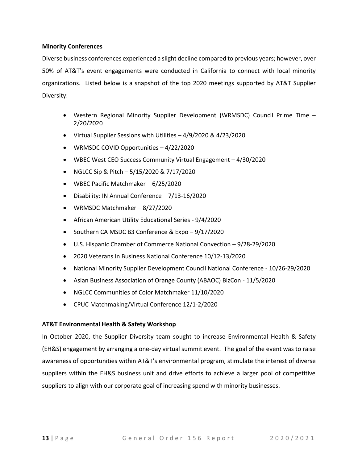#### **Minority Conferences**

Diverse business conferences experienced a slight decline compared to previous years; however, over 50% of AT&T's event engagements were conducted in California to connect with local minority organizations. Listed below is a snapshot of the top 2020 meetings supported by AT&T Supplier Diversity:

- Western Regional Minority Supplier Development (WRMSDC) Council Prime Time 2/20/2020
- Virtual Supplier Sessions with Utilities 4/9/2020 & 4/23/2020
- WRMSDC COVID Opportunities 4/22/2020
- WBEC West CEO Success Community Virtual Engagement 4/30/2020
- NGLCC Sip & Pitch  $-5/15/2020$  &  $7/17/2020$
- WBEC Pacific Matchmaker 6/25/2020
- Disability: IN Annual Conference 7/13-16/2020
- WRMSDC Matchmaker 8/27/2020
- African American Utility Educational Series 9/4/2020
- Southern CA MSDC B3 Conference & Expo 9/17/2020
- U.S. Hispanic Chamber of Commerce National Convection 9/28-29/2020
- 2020 Veterans in Business National Conference 10/12-13/2020
- National Minority Supplier Development Council National Conference 10/26-29/2020
- Asian Business Association of Orange County (ABAOC) BizCon 11/5/2020
- NGLCC Communities of Color Matchmaker 11/10/2020
- CPUC Matchmaking/Virtual Conference 12/1-2/2020

#### **AT&T Environmental Health & Safety Workshop**

In October 2020, the Supplier Diversity team sought to increase Environmental Health & Safety (EH&S) engagement by arranging a one-day virtual summit event. The goal of the event was to raise awareness of opportunities within AT&T's environmental program, stimulate the interest of diverse suppliers within the EH&S business unit and drive efforts to achieve a larger pool of competitive suppliers to align with our corporate goal of increasing spend with minority businesses.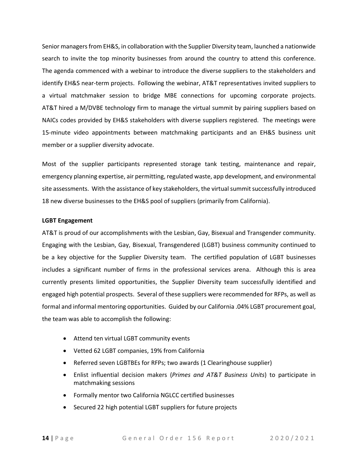Senior managers from EH&S, in collaboration with the Supplier Diversity team, launched a nationwide search to invite the top minority businesses from around the country to attend this conference. The agenda commenced with a webinar to introduce the diverse suppliers to the stakeholders and identify EH&S near-term projects. Following the webinar, AT&T representatives invited suppliers to a virtual matchmaker session to bridge MBE connections for upcoming corporate projects. AT&T hired a M/DVBE technology firm to manage the virtual summit by pairing suppliers based on NAICs codes provided by EH&S stakeholders with diverse suppliers registered. The meetings were 15-minute video appointments between matchmaking participants and an EH&S business unit member or a supplier diversity advocate.

Most of the supplier participants represented storage tank testing, maintenance and repair, emergency planning expertise, air permitting, regulated waste, app development, and environmental site assessments. With the assistance of key stakeholders, the virtual summit successfully introduced 18 new diverse businesses to the EH&S pool of suppliers (primarily from California).

#### **LGBT Engagement**

AT&T is proud of our accomplishments with the Lesbian, Gay, Bisexual and Transgender community. Engaging with the Lesbian, Gay, Bisexual, Transgendered (LGBT) business community continued to be a key objective for the Supplier Diversity team. The certified population of LGBT businesses includes a significant number of firms in the professional services arena. Although this is area currently presents limited opportunities, the Supplier Diversity team successfully identified and engaged high potential prospects. Several of these suppliers were recommended for RFPs, as well as formal and informal mentoring opportunities. Guided by our California .04% LGBT procurement goal, the team was able to accomplish the following:

- Attend ten virtual LGBT community events
- Vetted 62 LGBT companies, 19% from California
- Referred seven LGBTBEs for RFPs; two awards (1 Clearinghouse supplier)
- Enlist influential decision makers (*Primes and AT&T Business Units*) to participate in matchmaking sessions
- Formally mentor two California NGLCC certified businesses
- Secured 22 high potential LGBT suppliers for future projects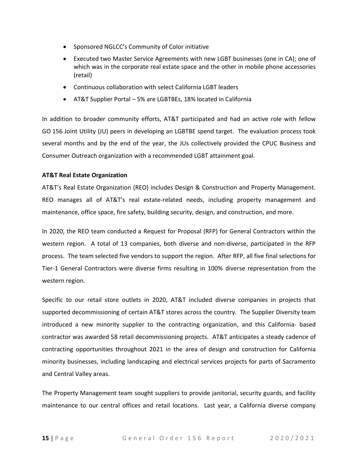- Sponsored NGLCC's Community of Color initiative
- Executed two Master Service Agreements with new LGBT businesses (one in CA); one of which was in the corporate real estate space and the other in mobile phone accessories (retail)
- Continuous collaboration with select California LGBT leaders
- AT&T Supplier Portal 5% are LGBTBEs, 18% located in California

In addition to broader community efforts, AT&T participated and had an active role with fellow GO 156 Joint Utility (JU) peers in developing an LGBTBE spend target. The evaluation process took several months and by the end of the year, the JUs collectively provided the CPUC Business and Consumer Outreach organization with a recommended LGBT attainment goal.

#### **AT&T Real Estate Organization**

AT&T's Real Estate Organization (REO) includes Design & Construction and Property Management. REO manages all of AT&T's real estate-related needs, including property management and maintenance, office space, fire safety, building security, design, and construction, and more.

In 2020, the REO team conducted a Request for Proposal (RFP) for General Contractors within the western region. A total of 13 companies, both diverse and non-diverse, participated in the RFP process. The team selected five vendors to support the region. After RFP, all five final selections for Tier-1 General Contractors were diverse firms resulting in 100% diverse representation from the western region.

Specific to our retail store outlets in 2020, AT&T included diverse companies in projects that supported decommissioning of certain AT&T stores across the country. The Supplier Diversity team introduced a new minority supplier to the contracting organization, and this California- based contractor was awarded 58 retail decommissioning projects. AT&T anticipates a steady cadence of contracting opportunities throughout 2021 in the area of design and construction for California minority businesses, including landscaping and electrical services projects for parts of Sacramento and Central Valley areas.

The Property Management team sought suppliers to provide janitorial, security guards, and facility maintenance to our central offices and retail locations. Last year, a California diverse company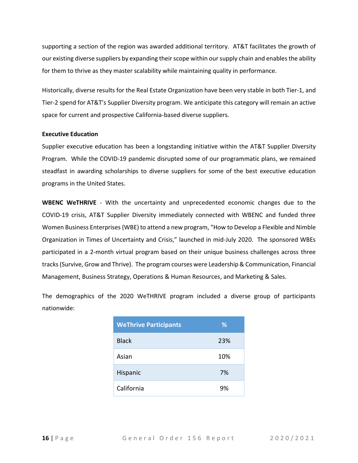supporting a section of the region was awarded additional territory. AT&T facilitates the growth of our existing diverse suppliers by expanding their scope within our supply chain and enables the ability for them to thrive as they master scalability while maintaining quality in performance.

Historically, diverse results for the Real Estate Organization have been very stable in both Tier-1, and Tier-2 spend for AT&T's Supplier Diversity program. We anticipate this category will remain an active space for current and prospective California-based diverse suppliers.

#### **Executive Education**

Supplier executive education has been a longstanding initiative within the AT&T Supplier Diversity Program. While the COVID-19 pandemic disrupted some of our programmatic plans, we remained steadfast in awarding scholarships to diverse suppliers for some of the best executive education programs in the United States.

**WBENC WeTHRIVE** - With the uncertainty and unprecedented economic changes due to the COVID-19 crisis, AT&T Supplier Diversity immediately connected with WBENC and funded three Women Business Enterprises (WBE) to attend a new program, "How to Develop a Flexible and Nimble Organization in Times of Uncertainty and Crisis," launched in mid-July 2020. The sponsored WBEs participated in a 2-month virtual program based on their unique business challenges across three tracks (Survive, Grow and Thrive). The program courses were Leadership & Communication, Financial Management, Business Strategy, Operations & Human Resources, and Marketing & Sales.

The demographics of the 2020 WeTHRIVE program included a diverse group of participants nationwide:

| <b>WeThrive Participants</b> | ℅   |
|------------------------------|-----|
| <b>Black</b>                 | 23% |
| Asian                        | 10% |
| Hispanic                     | 7%  |
| California                   | 9%  |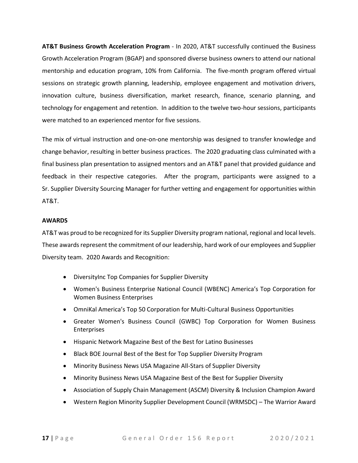**AT&T Business Growth Acceleration Program** - In 2020, AT&T successfully continued the Business Growth Acceleration Program (BGAP) and sponsored diverse business owners to attend our national mentorship and education program, 10% from California. The five-month program offered virtual sessions on strategic growth planning, leadership, employee engagement and motivation drivers, innovation culture, business diversification, market research, finance, scenario planning, and technology for engagement and retention. In addition to the twelve two-hour sessions, participants were matched to an experienced mentor for five sessions.

The mix of virtual instruction and one-on-one mentorship was designed to transfer knowledge and change behavior, resulting in better business practices. The 2020 graduating class culminated with a final business plan presentation to assigned mentors and an AT&T panel that provided guidance and feedback in their respective categories. After the program, participants were assigned to a Sr. Supplier Diversity Sourcing Manager for further vetting and engagement for opportunities within AT&T.

#### **AWARDS**

AT&T was proud to be recognized for its Supplier Diversity program national, regional and local levels. These awards represent the commitment of our leadership, hard work of our employees and Supplier Diversity team. 2020 Awards and Recognition:

- DiversityInc Top Companies for Supplier Diversity
- Women's Business Enterprise National Council (WBENC) America's Top Corporation for Women Business Enterprises
- OmniKal America's Top 50 Corporation for Multi-Cultural Business Opportunities
- Greater Women's Business Council (GWBC) Top Corporation for Women Business Enterprises
- Hispanic Network Magazine Best of the Best for Latino Businesses
- Black BOE Journal Best of the Best for Top Supplier Diversity Program
- Minority Business News USA Magazine All-Stars of Supplier Diversity
- Minority Business News USA Magazine Best of the Best for Supplier Diversity
- Association of Supply Chain Management (ASCM) Diversity & Inclusion Champion Award
- Western Region Minority Supplier Development Council (WRMSDC) The Warrior Award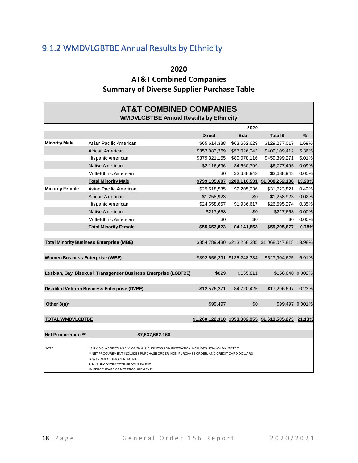# <span id="page-19-0"></span>9.1.2 WMDVLGBTBE Annual Results by Ethnicity

**2020**

### **AT&T Combined Companies Summary of Diverse Supplier Purchase Table**

|                                        | <b>AT&amp;T COMBINED COMPANIES</b><br><b>WMDVLGBTBE Annual Results by Ethnicity</b>                                                                                                                                                                                                        |               |                             |                                                      |       |  |
|----------------------------------------|--------------------------------------------------------------------------------------------------------------------------------------------------------------------------------------------------------------------------------------------------------------------------------------------|---------------|-----------------------------|------------------------------------------------------|-------|--|
|                                        |                                                                                                                                                                                                                                                                                            |               | 2020                        |                                                      |       |  |
|                                        |                                                                                                                                                                                                                                                                                            | <b>Direct</b> | Sub                         | Total \$                                             | %     |  |
| <b>Minority Male</b>                   | Asian Pacific American                                                                                                                                                                                                                                                                     | \$65,614,388  | \$63,662,629                | \$129,277,017                                        | 1.69% |  |
|                                        | African American                                                                                                                                                                                                                                                                           | \$352,083,369 | \$57,026,043                | \$409,109,412                                        | 5.36% |  |
|                                        | Hispanic American                                                                                                                                                                                                                                                                          | \$379,321,155 | \$80,078,116                | \$459,399,271                                        | 6.01% |  |
|                                        | Native American                                                                                                                                                                                                                                                                            | \$2,116,696   | \$4,660,799                 | \$6,777,495                                          | 0.09% |  |
|                                        | Multi-Ethnic American                                                                                                                                                                                                                                                                      | \$0           | \$3,688,943                 | \$3,688,943                                          | 0.05% |  |
|                                        | <b>Total Minority Male</b>                                                                                                                                                                                                                                                                 |               |                             | \$799.135.607 \$209.116.531 \$1.008.252.138 13.20%   |       |  |
| <b>Minority Female</b>                 | Asian Pacific American                                                                                                                                                                                                                                                                     | \$29,518,585  | \$2,205,236                 | \$31,723,821                                         | 0.42% |  |
|                                        | African American                                                                                                                                                                                                                                                                           | \$1,258,923   | \$0                         | \$1,258,923                                          | 0.02% |  |
|                                        | Hispanic American                                                                                                                                                                                                                                                                          | \$24,658,657  | \$1,936,617                 | \$26,595,274                                         | 0.35% |  |
|                                        | Native American                                                                                                                                                                                                                                                                            | \$217,658     | \$0                         | \$217,658                                            | 0.00% |  |
|                                        | Multi-Ethnic American                                                                                                                                                                                                                                                                      | \$0           | \$0                         | \$0                                                  | 0.00% |  |
|                                        | <b>Total Minority Female</b>                                                                                                                                                                                                                                                               | \$55,653,823  | \$4,141,853                 | \$59,795,677                                         | 0.78% |  |
|                                        |                                                                                                                                                                                                                                                                                            |               |                             |                                                      |       |  |
|                                        | <b>Total Minority Business Enterprise (MBE)</b>                                                                                                                                                                                                                                            |               |                             | \$854,789,430 \$213,258,385 \$1,068,047,815 13.98%   |       |  |
| <b>Women Business Enterprise (WBE)</b> |                                                                                                                                                                                                                                                                                            |               | \$392,656,291 \$135,248,334 | \$527,904,625                                        | 6.91% |  |
|                                        | Lesbian, Gay, Bisexual, Transgender Business Enterprise (LGBTBE)                                                                                                                                                                                                                           | \$829         | \$155.811                   | \$156,640 0.002%                                     |       |  |
|                                        | <b>Disabled Veteran Business Enterprise (DVBE)</b>                                                                                                                                                                                                                                         | \$12,576,271  | \$4,720,425                 | \$17,296,697                                         | 0.23% |  |
| Other $8(a)^*$                         |                                                                                                                                                                                                                                                                                            | \$99,497      | \$0                         | \$99,497 0.001%                                      |       |  |
| <b>TOTAL WMDVLGBTBE</b>                |                                                                                                                                                                                                                                                                                            |               |                             | \$1,260,122,318 \$353,382,955 \$1,613,505,273 21.13% |       |  |
| Net Procurement**                      | \$7,637,662,168                                                                                                                                                                                                                                                                            |               |                             |                                                      |       |  |
| NOTE:                                  | * FIRM S CLASSIFIED AS 8(a) OF SM ALL BUSINESS ADM INISTRATION INCLUDES NON-WM DVLGBTBE<br>** NET PROCUREMENT INCLUDES PURCHASE ORDER, NON-PURCHASE ORDER, AND CREDIT CARD DOLLARS<br>Direct - DIRECT PROCUREM ENT<br>Sub - SUBCONTRACTOR PROCUREMENT<br>%- PERCENTAGE OF NET PROCUREM ENT |               |                             |                                                      |       |  |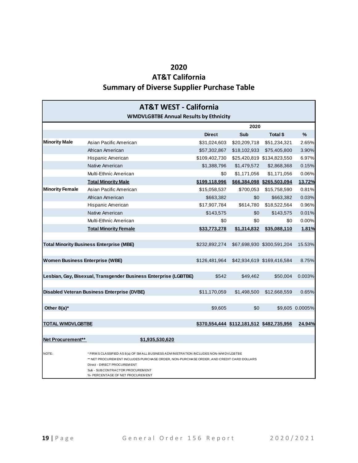### **AT&T California Summary of Diverse Supplier Purchase Table**

| <b>AT&amp;T WEST - California</b><br><b>WMDVLGBTBE Annual Results by Ethnicity</b>                                                                                                                                                                                                                |                                                                  |               |              |                                           |                 |
|---------------------------------------------------------------------------------------------------------------------------------------------------------------------------------------------------------------------------------------------------------------------------------------------------|------------------------------------------------------------------|---------------|--------------|-------------------------------------------|-----------------|
|                                                                                                                                                                                                                                                                                                   |                                                                  |               | 2020         |                                           |                 |
|                                                                                                                                                                                                                                                                                                   |                                                                  | <b>Direct</b> | Sub          | Total \$                                  | %               |
| <b>Minority Male</b>                                                                                                                                                                                                                                                                              | Asian Pacific American                                           | \$31,024,603  | \$20,209,718 | \$51,234,321                              | 2.65%           |
|                                                                                                                                                                                                                                                                                                   | African American                                                 | \$57,302,867  | \$18,102,933 | \$75,405,800                              | 3.90%           |
|                                                                                                                                                                                                                                                                                                   | Hispanic American                                                | \$109,402,730 |              | \$25,420,819 \$134,823,550                | 6.97%           |
|                                                                                                                                                                                                                                                                                                   | Native American                                                  | \$1,388,796   | \$1,479,572  | \$2,868,368                               | 0.15%           |
|                                                                                                                                                                                                                                                                                                   | Multi-Ethnic American                                            | \$0           | \$1,171,056  | \$1,171,056                               | 0.06%           |
|                                                                                                                                                                                                                                                                                                   | <b>Total Minority Male</b>                                       | \$199,118,996 |              | \$66,384,098 \$265,503,094                | 13.72%          |
| <b>Minority Female</b>                                                                                                                                                                                                                                                                            | Asian Pacific American                                           | \$15,058,537  | \$700,053    | \$15,758,590                              | 0.81%           |
|                                                                                                                                                                                                                                                                                                   | African American                                                 | \$663,382     | \$0          | \$663,382                                 | 0.03%           |
|                                                                                                                                                                                                                                                                                                   | Hispanic American                                                | \$17,907,784  | \$614,780    | \$18,522,564                              | 0.96%           |
|                                                                                                                                                                                                                                                                                                   | Native American                                                  | \$143,575     | \$0          | \$143,575                                 | 0.01%           |
|                                                                                                                                                                                                                                                                                                   | Multi-Ethnic American                                            | \$0           | \$0          | \$0                                       | 0.00%           |
|                                                                                                                                                                                                                                                                                                   | <b>Total Minority Female</b>                                     | \$33,773,278  | \$1,314,832  | \$35,088,110                              | 1.81%           |
|                                                                                                                                                                                                                                                                                                   |                                                                  |               |              |                                           |                 |
|                                                                                                                                                                                                                                                                                                   | <b>Total Minority Business Enterprise (MBE)</b>                  | \$232,892,274 |              | \$67,698,930 \$300,591,204                | 15.53%          |
|                                                                                                                                                                                                                                                                                                   |                                                                  |               |              |                                           |                 |
| <b>Women Business Enterprise (WBE)</b>                                                                                                                                                                                                                                                            |                                                                  | \$126,481,964 |              | \$42,934,619 \$169,416,584                | 8.75%           |
|                                                                                                                                                                                                                                                                                                   |                                                                  |               |              |                                           |                 |
|                                                                                                                                                                                                                                                                                                   | Lesbian, Gay, Bisexual, Transgender Business Enterprise (LGBTBE) | \$542         | \$49,462     | \$50,004                                  | 0.003%          |
|                                                                                                                                                                                                                                                                                                   |                                                                  |               |              |                                           |                 |
|                                                                                                                                                                                                                                                                                                   | Disabled Veteran Business Enterprise (DVBE)                      | \$11,170,059  | \$1,498,500  | \$12,668,559                              | 0.65%           |
|                                                                                                                                                                                                                                                                                                   |                                                                  |               |              |                                           |                 |
| Other $8(a)^*$                                                                                                                                                                                                                                                                                    |                                                                  | \$9,605       | \$0          |                                           | \$9,605 0.0005% |
|                                                                                                                                                                                                                                                                                                   |                                                                  |               |              |                                           |                 |
| <b>TOTAL WMDVLGBTBE</b>                                                                                                                                                                                                                                                                           |                                                                  |               |              | \$370,554,444 \$112,181,512 \$482,735,956 | 24.94%          |
|                                                                                                                                                                                                                                                                                                   |                                                                  |               |              |                                           |                 |
| Net Procurement**                                                                                                                                                                                                                                                                                 | \$1.935.530.620                                                  |               |              |                                           |                 |
| NOTE:<br>* FIRM S CLASSIFIED AS 8(a) OF SMALL BUSINESS ADM INISTRATION INCLUDES NON-WM DVLGBTBE<br>** NET PROCUREM ENT INCLUDES PURCHASE ORDER, NON-PURCHASE ORDER, AND CREDIT CARD DOLLARS<br>Direct - DIRECT PROCUREMENT<br>Sub - SUBCONTRACTOR PROCUREMENT<br>%- PERCENTAGE OF NET PROCUREMENT |                                                                  |               |              |                                           |                 |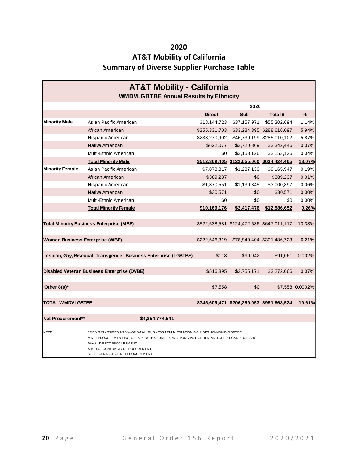### **AT&T Mobility of California Summary of Diverse Supplier Purchase Table**

| <b>AT&amp;T Mobility - California</b><br><b>WMDVLGBTBE Annual Results by Ethnicity</b>                                                                                                                                                                                                              |                                                                  |               |                                           |                                           |                 |  |  |
|-----------------------------------------------------------------------------------------------------------------------------------------------------------------------------------------------------------------------------------------------------------------------------------------------------|------------------------------------------------------------------|---------------|-------------------------------------------|-------------------------------------------|-----------------|--|--|
|                                                                                                                                                                                                                                                                                                     |                                                                  | 2020          |                                           |                                           |                 |  |  |
|                                                                                                                                                                                                                                                                                                     |                                                                  | <b>Direct</b> | Sub                                       | Total \$                                  | $\frac{9}{6}$   |  |  |
| <b>Minority Male</b>                                                                                                                                                                                                                                                                                | Asian Pacific American                                           | \$18,144,723  | \$37,157,971                              | \$55,302,694                              | 1.14%           |  |  |
|                                                                                                                                                                                                                                                                                                     | African American                                                 | \$255,331,703 |                                           | \$33,284,395 \$288,616,097                | 5.94%           |  |  |
|                                                                                                                                                                                                                                                                                                     | Hispanic American                                                | \$238,270,902 |                                           | \$46,739,199 \$285,010,102                | 5.87%           |  |  |
|                                                                                                                                                                                                                                                                                                     | Native American                                                  | \$622,077     | \$2,720,369                               | \$3,342,446                               | 0.07%           |  |  |
|                                                                                                                                                                                                                                                                                                     | Multi-Ethnic American                                            | \$0           | \$2,153,126                               | \$2,153,126                               | 0.04%           |  |  |
|                                                                                                                                                                                                                                                                                                     | <b>Total Minority Male</b>                                       |               | \$512,369,405 \$122,055,060 \$634,424,465 |                                           | 13.07%          |  |  |
| <b>Minority Female</b>                                                                                                                                                                                                                                                                              | Asian Pacific American                                           | \$7,878,817   | \$1,287,130                               | \$9,165,947                               | 0.19%           |  |  |
|                                                                                                                                                                                                                                                                                                     | African American                                                 | \$389,237     | \$0                                       | \$389,237                                 | 0.01%           |  |  |
|                                                                                                                                                                                                                                                                                                     | Hispanic American                                                | \$1,870,551   | \$1,130,345                               | \$3,000,897                               | 0.06%           |  |  |
|                                                                                                                                                                                                                                                                                                     | Native American                                                  | \$30,571      | \$0                                       | \$30,571                                  | 0.00%           |  |  |
|                                                                                                                                                                                                                                                                                                     | Multi-Ethnic American                                            | \$0           | \$0                                       | \$0                                       | 0.00%           |  |  |
|                                                                                                                                                                                                                                                                                                     | <b>Total Minority Female</b>                                     | \$10,169,176  | \$2,417,476                               | \$12,586,652                              | 0.26%           |  |  |
|                                                                                                                                                                                                                                                                                                     | <b>Total Minority Business Enterprise (MBE)</b>                  |               | \$522,538,581 \$124,472,536 \$647,011,117 |                                           | 13.33%          |  |  |
| <b>Women Business Enterprise (WBE)</b>                                                                                                                                                                                                                                                              |                                                                  | \$222,546,319 |                                           | \$78,940,404 \$301,486,723                | 6.21%           |  |  |
|                                                                                                                                                                                                                                                                                                     | Lesbian, Gay, Bisexual, Transgender Business Enterprise (LGBTBE) | \$118         | \$90,942                                  | \$91,061                                  | 0.002%          |  |  |
|                                                                                                                                                                                                                                                                                                     | <b>Disabled Veteran Business Enterprise (DVBE)</b>               | \$516,895     | \$2,755,171                               | \$3,272,066                               | 0.07%           |  |  |
| Other $8(a)^*$                                                                                                                                                                                                                                                                                      |                                                                  | \$7,558       | \$0                                       |                                           | \$7,558 0.0002% |  |  |
| <b>TOTAL WMDVLGBTBE</b>                                                                                                                                                                                                                                                                             |                                                                  |               |                                           | \$745,609,471 \$206,259,053 \$951,868,524 | 19.61%          |  |  |
| Net Procurement**                                                                                                                                                                                                                                                                                   | \$4,854,774,541                                                  |               |                                           |                                           |                 |  |  |
| NOTE:<br>* FIRM S CLASSIFIED AS 8(a) OF SM ALL BUSINESS ADM INISTRATION INCLUDES NON-WM DV LGBTBE<br>** NET PROCUREMENT INCLUDES PURCHASE ORDER, NON-PURCHASE ORDER, AND CREDIT CARD DOLLARS<br>Direct - DIRECT PROCUREM ENT<br>Sub - SUBCONTRACTOR PROCUREMENT<br>%- PERCENTAGE OF NET PROCUREMENT |                                                                  |               |                                           |                                           |                 |  |  |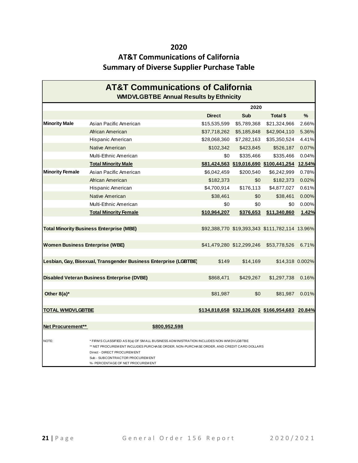### **AT&T Communications of California Summary of Diverse Supplier Purchase Table**

| <b>AT&amp;T Communications of California</b><br><b>WMDVLGBTBE Annual Results by Ethnicity</b> |                                                                                                                                                                                                                                                                                            |               |                           |                                                 |       |  |  |
|-----------------------------------------------------------------------------------------------|--------------------------------------------------------------------------------------------------------------------------------------------------------------------------------------------------------------------------------------------------------------------------------------------|---------------|---------------------------|-------------------------------------------------|-------|--|--|
|                                                                                               |                                                                                                                                                                                                                                                                                            |               | 2020                      |                                                 |       |  |  |
|                                                                                               |                                                                                                                                                                                                                                                                                            | <b>Direct</b> | <b>Sub</b>                | Total \$                                        | $\%$  |  |  |
| <b>Minority Male</b>                                                                          | Asian Pacific American                                                                                                                                                                                                                                                                     | \$15,535,599  | \$5,789,368               | \$21,324,966                                    | 2.66% |  |  |
|                                                                                               | African American                                                                                                                                                                                                                                                                           | \$37,718,262  | \$5,185,848               | \$42,904,110                                    | 5.36% |  |  |
|                                                                                               | Hispanic American                                                                                                                                                                                                                                                                          |               | \$28,068,360 \$7,282,163  | \$35,350,524                                    | 4.41% |  |  |
|                                                                                               | Native American                                                                                                                                                                                                                                                                            | \$102,342     | \$423,845                 | \$526,187                                       | 0.07% |  |  |
|                                                                                               | Multi-Ethnic American                                                                                                                                                                                                                                                                      | \$0           | \$335,466                 | \$335,466                                       | 0.04% |  |  |
|                                                                                               | <b>Total Minority Male</b>                                                                                                                                                                                                                                                                 |               |                           | \$81,424,563 \$19,016,690 \$100,441,254 12.54%  |       |  |  |
| <b>Minority Female</b>                                                                        | Asian Pacific American                                                                                                                                                                                                                                                                     | \$6,042,459   | \$200,540                 | \$6,242,999                                     | 0.78% |  |  |
|                                                                                               | African American                                                                                                                                                                                                                                                                           | \$182,373     | \$0                       | \$182,373                                       | 0.02% |  |  |
|                                                                                               | Hispanic American                                                                                                                                                                                                                                                                          | \$4,700,914   | \$176,113                 | \$4,877,027                                     | 0.61% |  |  |
|                                                                                               | Native American                                                                                                                                                                                                                                                                            | \$38,461      | \$0                       | \$38,461                                        | 0.00% |  |  |
|                                                                                               | Multi-Ethnic American                                                                                                                                                                                                                                                                      | \$0           | \$0                       | \$0                                             | 0.00% |  |  |
|                                                                                               | <b>Total Minority Female</b>                                                                                                                                                                                                                                                               | \$10,964,207  | \$376,653                 | \$11,340,860                                    | 1.42% |  |  |
|                                                                                               |                                                                                                                                                                                                                                                                                            |               |                           |                                                 |       |  |  |
|                                                                                               | <b>Total Minority Business Enterprise (MBE)</b>                                                                                                                                                                                                                                            |               |                           | \$92,388,770 \$19,393,343 \$111,782,114 13.96%  |       |  |  |
|                                                                                               |                                                                                                                                                                                                                                                                                            |               |                           |                                                 |       |  |  |
| <b>Women Business Enterprise (WBE)</b>                                                        |                                                                                                                                                                                                                                                                                            |               | \$41,479,280 \$12,299,246 | \$53,778,526                                    | 6.71% |  |  |
|                                                                                               |                                                                                                                                                                                                                                                                                            |               |                           |                                                 |       |  |  |
|                                                                                               | Lesbian, Gay, Bisexual, Transgender Business Enterprise (LGBTBE)                                                                                                                                                                                                                           | \$149         | \$14,169                  | \$14,318 0.002%                                 |       |  |  |
|                                                                                               |                                                                                                                                                                                                                                                                                            |               |                           |                                                 |       |  |  |
|                                                                                               | <b>Disabled Veteran Business Enterprise (DVBE)</b>                                                                                                                                                                                                                                         | \$868,471     | \$429,267                 | \$1,297,738                                     | 0.16% |  |  |
|                                                                                               |                                                                                                                                                                                                                                                                                            |               |                           |                                                 |       |  |  |
| Other $8(a)^*$                                                                                |                                                                                                                                                                                                                                                                                            | \$81,987      | \$0                       | \$81,987                                        | 0.01% |  |  |
|                                                                                               |                                                                                                                                                                                                                                                                                            |               |                           |                                                 |       |  |  |
| TOTAL WMDVLGBTBE                                                                              |                                                                                                                                                                                                                                                                                            |               |                           | \$134,818,658 \$32,136,026 \$166,954,683 20.84% |       |  |  |
|                                                                                               |                                                                                                                                                                                                                                                                                            |               |                           |                                                 |       |  |  |
| Net Procurement**                                                                             | \$800,952,598                                                                                                                                                                                                                                                                              |               |                           |                                                 |       |  |  |
| NOTE:                                                                                         | * FIRM S CLASSIFIED AS 8(a) OF SM ALL BUSINESS ADM INISTRATION INCLUDES NON-WM DVLGBTBE<br>** NET PROCUREM ENT INCLUDES PURCHASE ORDER, NON-PURCHASE ORDER, AND CREDIT CARD DOLLARS<br>Direct - DIRECT PROCUREMENT<br>Sub - SUBCONTRACTOR PROCUREM ENT<br>%- PERCENTAGE OF NET PROCUREMENT |               |                           |                                                 |       |  |  |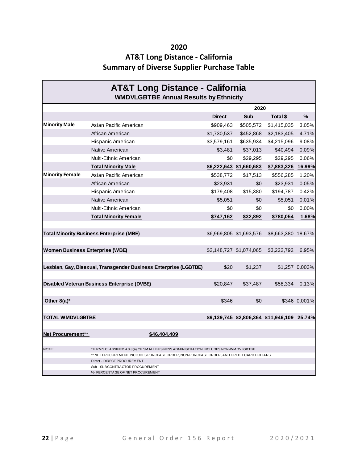### **AT&T Long Distance - California Summary of Diverse Supplier Purchase Table**

| <b>AT&amp;T Long Distance - California</b><br><b>WMDVLGBTBE Annual Results by Ethnicity</b> |                                                                                                                          |               |                         |                                             |                |  |  |
|---------------------------------------------------------------------------------------------|--------------------------------------------------------------------------------------------------------------------------|---------------|-------------------------|---------------------------------------------|----------------|--|--|
|                                                                                             |                                                                                                                          | 2020          |                         |                                             |                |  |  |
|                                                                                             |                                                                                                                          | <b>Direct</b> | Sub                     | Total \$                                    | $\%$           |  |  |
| <b>Minority Male</b>                                                                        | Asian Pacific American                                                                                                   | \$909,463     | \$505,572               | \$1,415,035                                 | 3.05%          |  |  |
|                                                                                             | African American                                                                                                         | \$1,730,537   | \$452,868               | \$2,183,405                                 | 4.71%          |  |  |
|                                                                                             | Hispanic American                                                                                                        | \$3,579,161   | \$635,934               | \$4,215,096                                 | 9.08%          |  |  |
|                                                                                             | Native American                                                                                                          | \$3.481       | \$37,013                | \$40,494                                    | 0.09%          |  |  |
|                                                                                             | Multi-Ethnic American                                                                                                    | \$0           | \$29,295                | \$29,295                                    | 0.06%          |  |  |
|                                                                                             | <b>Total Minority Male</b>                                                                                               |               | \$6,222,643 \$1,660,683 | \$7,883,326 16.99%                          |                |  |  |
| <b>Minority Female</b>                                                                      | Asian Pacific American                                                                                                   | \$538,772     | \$17,513                | \$556,285                                   | 1.20%          |  |  |
|                                                                                             | African American                                                                                                         | \$23,931      | \$0                     | \$23,931                                    | 0.05%          |  |  |
|                                                                                             | Hispanic American                                                                                                        | \$179,408     | \$15,380                | \$194,787                                   | 0.42%          |  |  |
|                                                                                             | Native American                                                                                                          | \$5,051       | \$0                     | \$5,051                                     | 0.01%          |  |  |
|                                                                                             | Multi-Ethnic American                                                                                                    | \$0           | \$0                     | \$0                                         | 0.00%          |  |  |
|                                                                                             | <b>Total Minority Female</b>                                                                                             | \$747,162     | \$32,892                | \$780,054                                   | 1.68%          |  |  |
|                                                                                             |                                                                                                                          |               |                         |                                             |                |  |  |
|                                                                                             | <b>Total Minority Business Enterprise (MBE)</b>                                                                          |               | \$6,969,805 \$1,693,576 | \$8,663,380 18.67%                          |                |  |  |
|                                                                                             |                                                                                                                          |               |                         |                                             |                |  |  |
| <b>Women Business Enterprise (WBE)</b>                                                      |                                                                                                                          |               | \$2,148,727 \$1,074,065 | \$3,222,792                                 | 6.95%          |  |  |
|                                                                                             |                                                                                                                          |               |                         |                                             |                |  |  |
|                                                                                             | Lesbian, Gay, Bisexual, Transgender Business Enterprise (LGBTBE)                                                         | \$20          | \$1,237                 |                                             | \$1,257 0.003% |  |  |
|                                                                                             |                                                                                                                          |               |                         |                                             |                |  |  |
|                                                                                             | Disabled Veteran Business Enterprise (DVBE)                                                                              | \$20.847      | \$37,487                | \$58,334                                    | 0.13%          |  |  |
|                                                                                             |                                                                                                                          |               |                         |                                             |                |  |  |
| Other $8(a)^*$                                                                              |                                                                                                                          | \$346         | \$0                     |                                             | \$346 0.001%   |  |  |
|                                                                                             |                                                                                                                          |               |                         |                                             |                |  |  |
| <u>TOTAL WMDVLGBTBE</u>                                                                     |                                                                                                                          |               |                         | \$9,139,745 \$2,806,364 \$11,946,109 25.74% |                |  |  |
|                                                                                             |                                                                                                                          |               |                         |                                             |                |  |  |
| Net Procurement**                                                                           | \$46,404,409                                                                                                             |               |                         |                                             |                |  |  |
|                                                                                             |                                                                                                                          |               |                         |                                             |                |  |  |
| NOTE:                                                                                       | * FIRMS CLASSIFIED AS 8(a) OF SMALL BUSINESS ADMINISTRATION INCLUDES NON-WM DVLGBTBE                                     |               |                         |                                             |                |  |  |
|                                                                                             | ** NET PROCUREM ENT INCLUDES PURCHASE ORDER, NON-PURCHASE ORDER, AND CREDIT CARD DOLLARS<br>Direct - DIRECT PROCUREM ENT |               |                         |                                             |                |  |  |
|                                                                                             | Sub - SUBCONTRACTOR PROCUREMENT                                                                                          |               |                         |                                             |                |  |  |
|                                                                                             | %- PERCENTAGE OF NET PROCUREM ENT                                                                                        |               |                         |                                             |                |  |  |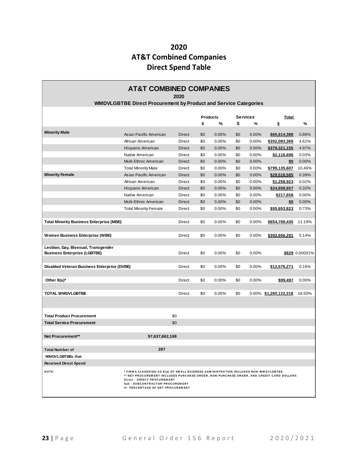### **2020 AT&T Combined Companies Direct Spend Table**

| <b>AT&amp;T COMBINED COMPANIES</b><br>2020                                 |                                                                                                                                                                                                                                                                                       |               |     |                                    |     |              |                          |                |
|----------------------------------------------------------------------------|---------------------------------------------------------------------------------------------------------------------------------------------------------------------------------------------------------------------------------------------------------------------------------------|---------------|-----|------------------------------------|-----|--------------|--------------------------|----------------|
|                                                                            | <b>WMDVLGBTBE Direct Procurement by Product and Service Categories</b>                                                                                                                                                                                                                |               |     |                                    |     |              |                          |                |
|                                                                            |                                                                                                                                                                                                                                                                                       |               |     | <b>Services</b><br><b>Products</b> |     | <u>Total</u> |                          |                |
|                                                                            |                                                                                                                                                                                                                                                                                       |               | \$  | %                                  | \$  | %            | \$                       | $\%$           |
| <b>Minority Male</b>                                                       | Asian Pacific American                                                                                                                                                                                                                                                                | <b>Direct</b> | \$0 | 0.00%                              | \$0 | 0.00%        | \$65,614,388             | 0.86%          |
|                                                                            | African American                                                                                                                                                                                                                                                                      | Direct        | \$0 | 0.00%                              | \$0 | 0.00%        | \$352,083,369            | 4.61%          |
|                                                                            | Hispanic American                                                                                                                                                                                                                                                                     | Direct        | \$0 | 0.00%                              | \$0 | 0.00%        | \$379,321,155            | 4.97%          |
|                                                                            | Native American                                                                                                                                                                                                                                                                       | <b>Direct</b> | \$0 | 0.00%                              | \$0 | 0.00%        | \$2,116,696              | 0.03%          |
|                                                                            | Multi-Ethnic American                                                                                                                                                                                                                                                                 | <b>Direct</b> | \$0 | 0.00%                              | \$0 | 0.00%        | \$0                      | 0.00%          |
|                                                                            |                                                                                                                                                                                                                                                                                       | Direct        | \$0 | 0.00%                              | \$0 | 0.00%        | \$799,135,607            | 10.46%         |
| <b>Minority Female</b>                                                     | <b>Total Minority Male</b>                                                                                                                                                                                                                                                            |               |     |                                    |     |              |                          |                |
|                                                                            | Asian Pacific American                                                                                                                                                                                                                                                                | <b>Direct</b> | \$0 | 0.00%                              | \$0 | 0.00%        | \$29,518,585             | 0.39%          |
|                                                                            | African American                                                                                                                                                                                                                                                                      | Direct        | \$0 | 0.00%                              | \$0 | 0.00%        | \$1,258,923              | 0.02%          |
|                                                                            | Hispanic American                                                                                                                                                                                                                                                                     | Direct        | \$0 | 0.00%                              | \$0 | 0.00%        | \$24,658,657             | 0.32%          |
|                                                                            | Native American                                                                                                                                                                                                                                                                       | Direct        | \$0 | 0.00%                              | \$0 | 0.00%        | \$217,658                | 0.00%          |
|                                                                            | Multi-Ethnic American                                                                                                                                                                                                                                                                 | <b>Direct</b> | \$0 | 0.00%                              | \$0 | 0.00%        | \$0                      | 0.00%          |
|                                                                            | <b>Total Minority Female</b>                                                                                                                                                                                                                                                          | Direct        | \$0 | 0.00%                              | \$0 | 0.00%        | \$55,653,823             | 0.73%          |
| <b>Total Minority Business Enterprise (MBE)</b>                            |                                                                                                                                                                                                                                                                                       | Direct        | \$0 | $0.00\%$                           | \$0 | 0.00%        | \$854,789,430            | 11.19%         |
| Women Business Enterprise (WBE)                                            |                                                                                                                                                                                                                                                                                       | Direct        | \$0 | 0.00%                              | \$0 | 0.00%        | \$392,656,291            | 5.14%          |
| Lesbian, Gay, Bisexual, Transgender<br><b>Business Enterprise (LGBTBE)</b> |                                                                                                                                                                                                                                                                                       | Direct        | \$0 | $0.00\%$                           | \$0 | 0.00%        |                          | \$829 0.00001% |
|                                                                            |                                                                                                                                                                                                                                                                                       |               |     |                                    |     |              |                          |                |
| Disabled Veteran Business Enterprise (DVBE)                                |                                                                                                                                                                                                                                                                                       | Direct        | \$0 | 0.00%                              | \$0 | 0.00%        | \$12,576,271             | 0.16%          |
| Other $8(a)^*$                                                             |                                                                                                                                                                                                                                                                                       | Direct        | \$0 | $0.00\%$                           | \$0 | 0.00%        | \$99,497                 | 0.00%          |
|                                                                            |                                                                                                                                                                                                                                                                                       |               |     |                                    |     |              |                          |                |
| <b>TOTAL WMDVLGBTBE</b>                                                    |                                                                                                                                                                                                                                                                                       | Direct        | \$0 | 0.00%                              | \$0 |              | $0.00\%$ \$1,260,122,318 | 16.50%         |
| <b>Total Product Procurement</b>                                           |                                                                                                                                                                                                                                                                                       | \$0           |     |                                    |     |              |                          |                |
|                                                                            |                                                                                                                                                                                                                                                                                       |               |     |                                    |     |              |                          |                |
| <b>Total Service Procurement</b>                                           |                                                                                                                                                                                                                                                                                       | \$0           |     |                                    |     |              |                          |                |
| Net Procurement**                                                          | \$7,637,662,168                                                                                                                                                                                                                                                                       |               |     |                                    |     |              |                          |                |
| <b>Total Number of</b>                                                     | 287                                                                                                                                                                                                                                                                                   |               |     |                                    |     |              |                          |                |
| <b>WMDVLGBTBEs that</b>                                                    |                                                                                                                                                                                                                                                                                       |               |     |                                    |     |              |                          |                |
| <b>Received Direct Spend</b>                                               |                                                                                                                                                                                                                                                                                       |               |     |                                    |     |              |                          |                |
|                                                                            |                                                                                                                                                                                                                                                                                       |               |     |                                    |     |              |                          |                |
| NOTE:                                                                      | * FIRMS CLASSIFIED AS 8(a) OF SMALL BUSINESS ADMINISTRATION INCLUDES NON-WMDVLGBTBE<br>** NET PROCUREMENT INCLUDES PURCHASE ORDER, NON-PURCHASE ORDER, AND CREDIT CARD DOLLARS<br>Direct - DIRECT PROCUREMENT<br>Sub - SUBCONTRACTOR PROCUREMENT<br>% - PERCENTAGE OF NET PROCUREMENT |               |     |                                    |     |              |                          |                |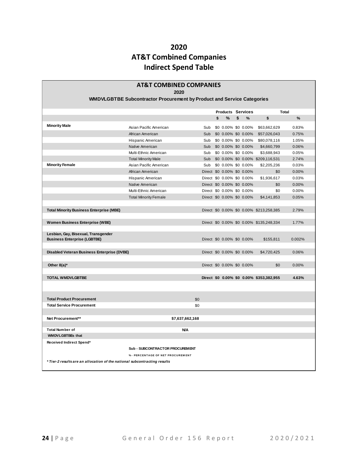### **2020 AT&T Combined Companies Indirect Spend Table**

| <b>AT&amp;T COMBINED COMPANIES</b>                                        |                                                                        |     |     |    |                            |                                     |  |                                          |        |  |  |
|---------------------------------------------------------------------------|------------------------------------------------------------------------|-----|-----|----|----------------------------|-------------------------------------|--|------------------------------------------|--------|--|--|
| 2020                                                                      |                                                                        |     |     |    |                            |                                     |  |                                          |        |  |  |
|                                                                           | WMDVLGBTBE Subcontractor Procurement by Product and Service Categories |     |     |    |                            |                                     |  |                                          |        |  |  |
|                                                                           |                                                                        |     |     |    |                            |                                     |  |                                          | Total  |  |  |
|                                                                           |                                                                        |     |     | \$ | %                          | <b>Products Services</b><br>\$<br>% |  | \$                                       | %      |  |  |
|                                                                           |                                                                        |     |     |    |                            |                                     |  |                                          |        |  |  |
| <b>Minority Male</b>                                                      | Asian Pacific American                                                 |     | Sub |    | \$0 0.00% \$0 0.00%        |                                     |  | \$63,662,629                             | 0.83%  |  |  |
|                                                                           | African American                                                       |     | Sub |    | \$0 0.00% \$0 0.00%        |                                     |  | \$57,026,043                             | 0.75%  |  |  |
|                                                                           | Hispanic American                                                      |     | Sub |    | \$0 0.00% \$0 0.00%        |                                     |  | \$80,078,116                             | 1.05%  |  |  |
|                                                                           | Native American                                                        |     |     |    | Sub \$0 0.00% \$0 0.00%    |                                     |  | \$4,660,799                              | 0.06%  |  |  |
|                                                                           | Multi-Ethnic American                                                  |     |     |    | Sub \$0 0.00% \$0 0.00%    |                                     |  | \$3,688,943                              | 0.05%  |  |  |
|                                                                           | <b>Total Minority Male</b>                                             |     | Sub |    |                            |                                     |  | \$0 0.00% \$0 0.00% \$209,116,531        | 2.74%  |  |  |
| <b>Minority Female</b>                                                    | Asian Pacific American                                                 |     |     |    | Sub \$0 0.00% \$0 0.00%    |                                     |  | \$2,205,236                              | 0.03%  |  |  |
|                                                                           | African American                                                       |     |     |    | Direct \$0 0.00% \$0 0.00% |                                     |  | \$0                                      | 0.00%  |  |  |
|                                                                           | Hispanic American                                                      |     |     |    | Direct \$0 0.00% \$0 0.00% |                                     |  | \$1,936,617                              | 0.03%  |  |  |
|                                                                           | Native American                                                        |     |     |    | Direct \$0 0.00% \$0 0.00% |                                     |  | \$0                                      | 0.00%  |  |  |
|                                                                           | Multi-Ethnic American                                                  |     |     |    | Direct \$0 0.00% \$0 0.00% |                                     |  | \$0                                      | 0.00%  |  |  |
|                                                                           | <b>Total Minority Female</b>                                           |     |     |    | Direct \$0 0.00% \$0 0.00% |                                     |  | \$4.141.853                              | 0.05%  |  |  |
|                                                                           |                                                                        |     |     |    |                            |                                     |  |                                          |        |  |  |
| <b>Total Minority Business Enterprise (MBE)</b>                           |                                                                        |     |     |    |                            |                                     |  | Direct \$0 0.00% \$0 0.00% \$213,258,385 | 2.79%  |  |  |
|                                                                           |                                                                        |     |     |    |                            |                                     |  |                                          |        |  |  |
| <b>Women Business Enterprise (WBE)</b>                                    |                                                                        |     |     |    |                            |                                     |  | Direct \$0 0.00% \$0 0.00% \$135,248,334 | 1.77%  |  |  |
|                                                                           |                                                                        |     |     |    |                            |                                     |  |                                          |        |  |  |
| Lesbian, Gay, Bisexual, Transgender                                       |                                                                        |     |     |    |                            |                                     |  |                                          |        |  |  |
| <b>Business Enterprise (LGBTBE)</b>                                       |                                                                        |     |     |    | Direct \$0 0.00% \$0 0.00% |                                     |  | \$155,811                                | 0.002% |  |  |
|                                                                           |                                                                        |     |     |    |                            |                                     |  |                                          |        |  |  |
| Disabled Veteran Business Enterprise (DVBE)                               |                                                                        |     |     |    | Direct \$0 0.00% \$0 0.00% |                                     |  | \$4,720,425                              | 0.06%  |  |  |
|                                                                           |                                                                        |     |     |    |                            |                                     |  |                                          |        |  |  |
| Other $8(a)^*$                                                            |                                                                        |     |     |    | Direct \$0 0.00% \$0 0.00% |                                     |  | \$0                                      | 0.00%  |  |  |
|                                                                           |                                                                        |     |     |    |                            |                                     |  |                                          |        |  |  |
| <b>TOTAL WMDVLGBTBE</b>                                                   |                                                                        |     |     |    |                            |                                     |  | Direct \$0 0.00% \$0 0.00% \$353,382,955 | 4.63%  |  |  |
|                                                                           |                                                                        |     |     |    |                            |                                     |  |                                          |        |  |  |
|                                                                           |                                                                        |     |     |    |                            |                                     |  |                                          |        |  |  |
| <b>Total Product Procurement</b>                                          |                                                                        | \$0 |     |    |                            |                                     |  |                                          |        |  |  |
| <b>Total Service Procurement</b>                                          |                                                                        | \$0 |     |    |                            |                                     |  |                                          |        |  |  |
|                                                                           |                                                                        |     |     |    |                            |                                     |  |                                          |        |  |  |
| Net Procurement**                                                         | \$7,637,662,168                                                        |     |     |    |                            |                                     |  |                                          |        |  |  |
|                                                                           |                                                                        |     |     |    |                            |                                     |  |                                          |        |  |  |
| <b>Total Number of</b>                                                    | <b>N/A</b>                                                             |     |     |    |                            |                                     |  |                                          |        |  |  |
| <b>WMDVLGBTBEs that</b>                                                   |                                                                        |     |     |    |                            |                                     |  |                                          |        |  |  |
| Received Indirect Spend*                                                  |                                                                        |     |     |    |                            |                                     |  |                                          |        |  |  |
|                                                                           | <b>Sub - SUBCONTRACTOR PROCUREMENT</b>                                 |     |     |    |                            |                                     |  |                                          |        |  |  |
|                                                                           | % - PERCENTAGE OF NET PROCUREMENT                                      |     |     |    |                            |                                     |  |                                          |        |  |  |
|                                                                           |                                                                        |     |     |    |                            |                                     |  |                                          |        |  |  |
| * Tier-2 results are an allocation of the national subcontracting results |                                                                        |     |     |    |                            |                                     |  |                                          |        |  |  |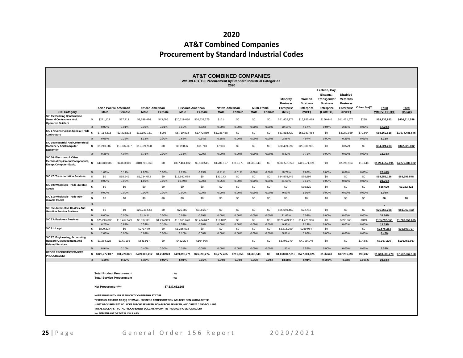### **2020 AT&T Combined Companies Procurement by Standard Industrial Codes**

|                                                                                                     | <b>AT&amp;T COMBINED COMPANIES</b><br>WMDVLGBTBE Procurement by Standard Industrial Categories<br>2020                      |                                 |                       |                                                                                                                                                                                                                                                                                                                       |                      |                          |                      |                        |              |                     |              |                                                  |                                               |                                                                                   |                                                       |                |                         |                 |
|-----------------------------------------------------------------------------------------------------|-----------------------------------------------------------------------------------------------------------------------------|---------------------------------|-----------------------|-----------------------------------------------------------------------------------------------------------------------------------------------------------------------------------------------------------------------------------------------------------------------------------------------------------------------|----------------------|--------------------------|----------------------|------------------------|--------------|---------------------|--------------|--------------------------------------------------|-----------------------------------------------|-----------------------------------------------------------------------------------|-------------------------------------------------------|----------------|-------------------------|-----------------|
|                                                                                                     |                                                                                                                             | Asian Pacific American          |                       | African American                                                                                                                                                                                                                                                                                                      |                      | <b>Hispanic American</b> |                      | <b>Native American</b> |              | <b>Multi-Ethnic</b> |              | Minority<br><b>Business</b><br><b>Enterprise</b> | Women<br><b>Business</b><br><b>Enterprise</b> | Lesbian, Gay,<br>Bisexual,<br>Transgender<br><b>Business</b><br><b>Enterprise</b> | Disabled<br>Veterans<br><b>Business</b><br>Enterprise | Other $8(a)**$ | Total                   | Total           |
| <b>SIC Category</b>                                                                                 |                                                                                                                             | Male                            | Female                | Male                                                                                                                                                                                                                                                                                                                  | Female               | Male                     | Female               | Male                   | Female       | Male                | Female       | (MBE)                                            | (WBE)                                         | (LGBTBE)                                                                          | (DVBE)                                                |                | <b>WMDVLGBTBE</b>       | <b>Dollars</b>  |
| <b>SIC 15: Building Construction</b><br><b>General Contractors And</b><br><b>Operative Builders</b> | \$                                                                                                                          | \$271,129                       | \$37,211              | \$9,699,476                                                                                                                                                                                                                                                                                                           | \$43,096             | \$20,719,680             | \$10,632,275         | <b>\$111</b>           | \$0          | \$0                 | \$0          | \$41,402,978                                     | \$16,955,489                                  | \$156,640                                                                         | \$11,421,576                                          | \$238          | \$69,936,922            | \$406.514.538   |
|                                                                                                     | $\%$                                                                                                                        | 0.07%                           | 0.01%                 | 2.39%                                                                                                                                                                                                                                                                                                                 | 0.01%                | 5.10%                    | 2.62%                | 0.00%                  | 0.00%        | 0.00%               | 0.00%        | 10.18%                                           | 4.17%                                         | 0.04%                                                                             | 2.81%                                                 | 0.00%          | 17.20%                  |                 |
| SIC 17: Construction Special Trade<br>Contractors                                                   | s.                                                                                                                          | \$7,114,616                     | \$2,393,615           | \$12,190,161                                                                                                                                                                                                                                                                                                          | \$908                | \$6,710,802              | \$1,472,860          | \$1,935,458            | \$0          | \$0                 | \$0          | \$31,818,420                                     | \$53,381,464                                  | \$0                                                                               | \$3,089,939                                           | \$70,804       | \$88.360.628            | \$1,074,485,645 |
|                                                                                                     | $\%$                                                                                                                        | 0.66%                           | 0.22%                 | 1.13%                                                                                                                                                                                                                                                                                                                 | 0.00%                | 0.62%                    | 0.14%                | 0.18%                  | 0.00%        | 0.00%               | 0.00%        | 2.96%                                            | 4.97%                                         | 0.00%                                                                             | 0.29%                                                 | 0.01%          | 8.22%                   |                 |
| SIC 35: Industrial And Commercial<br><b>Machinery And Computer</b><br>Equipment                     | \$                                                                                                                          | \$1,240,882                     | \$13,834,367          | \$12,824,928                                                                                                                                                                                                                                                                                                          | \$0                  | \$519,836                | \$11,748             | \$7,931                | \$0          | \$0                 | \$0          | \$28,439,692                                     | \$26,380,981                                  | \$0                                                                               | \$3,529                                               | \$0            | \$54,824,203            | \$342,023,802   |
|                                                                                                     | %                                                                                                                           | 0.36%                           | 4.04%                 | 3.75%                                                                                                                                                                                                                                                                                                                 | 0.00%                | 0.15%                    | 0.00%                | 0.00%                  | 0.00%        | 0.00%               | 0.00%        | 8.32%                                            | 7.71%                                         | 0.00%                                                                             | 0.00%                                                 | 0.00%          | 16.03%                  |                 |
| SIC 36: Electronic & Other<br>Electrical Equipment/Components,<br><b>Except Computer Equip.</b>     |                                                                                                                             | \$43,310,000                    | \$4,833,907           | \$340,702,863                                                                                                                                                                                                                                                                                                         | \$0                  | \$397,461,182            | \$5,580,541          | \$4,786,127            | \$217,679    | \$3,688,943         | \$0          | \$800,581,242 \$411,571,521                      |                                               | \$0                                                                               | \$2,390,984                                           | \$13,448       | \$1,214,557,195         | \$4,276,680,322 |
|                                                                                                     | %                                                                                                                           | 1.01%                           | 0.11%                 | 7.97%                                                                                                                                                                                                                                                                                                                 | 0.00%                | 9.29%                    | 0.13%                | 0.11%                  | 0.01%        | 0.09%               | 0.00%        | 18.72%                                           | 9.62%                                         | 0.00%                                                                             | 0.06%                                                 | 0.00%          | 28.40%                  |                 |
| <b>SIC 47: Transportation Services</b>                                                              | \$                                                                                                                          | \$0                             | \$15,949              | \$1,234,672                                                                                                                                                                                                                                                                                                           | \$0                  | \$13,592,678             | \$0                  | \$32,143               | \$0          | \$0                 | \$0          | \$14,875,442                                     | \$75,694                                      | \$0                                                                               | \$0                                                   | \$0            | \$14,951,136            | \$68,696,548    |
|                                                                                                     | $\%$                                                                                                                        | 0.00%                           | 0.02%                 | 1.80%                                                                                                                                                                                                                                                                                                                 | 0.00%                | 19.79%                   | 0.00%                | 0.05%                  | 0.00%        | 0.00%               | 0.00%        | 21.65%                                           | 0.11%                                         | 0.00%                                                                             | 0.00%                                                 | 0.00%          | 21.76%                  |                 |
| SIC 50: Wholesale Trade-durable<br>Goods                                                            | <b>s</b>                                                                                                                    | \$0                             | \$0                   | \$0                                                                                                                                                                                                                                                                                                                   | \$0                  | \$0                      | \$0                  | \$0                    | \$0          | \$0                 | \$0          | \$0                                              | \$35,629                                      | \$0                                                                               | \$0                                                   | \$0            | \$35,629                | \$3.282.422     |
|                                                                                                     | %                                                                                                                           | 0.00%                           | 0.00%                 | 0.00%                                                                                                                                                                                                                                                                                                                 | 0.00%                | 0.00%                    | 0.00%                | 0.00%                  | 0.00%        | 0.00%               | 0.00%        | 0.00%                                            | 1.09%                                         | 0.00%                                                                             | 0.00%                                                 | 0.00%          | 1.09%                   |                 |
| SIC 51: Wholesale Trade-non-<br>durable Goods                                                       | s.<br>$\frac{9}{6}$                                                                                                         | \$0                             | \$0                   | \$0                                                                                                                                                                                                                                                                                                                   | \$0                  | \$0                      | \$0                  | \$0                    | \$0          | \$0                 | \$0          | \$0                                              | \$0                                           | \$0                                                                               | \$0                                                   | \$0            | \$0                     | \$0             |
| SIC 55: Automotive Dealers And<br><b>Gasoline Service Stations</b>                                  | s                                                                                                                           | \$0                             | \$0                   | \$25,246,544                                                                                                                                                                                                                                                                                                          | \$0                  | \$75,689                 | \$318,227            | \$0                    | \$0          | \$0                 | \$0          | \$25,640,460                                     | \$22,748                                      | \$0                                                                               | \$0                                                   | \$0            | \$25,663,208            | \$81.067.452    |
| SIC 73: Business Services                                                                           | %<br>s.                                                                                                                     | 0.00%<br>\$75,246,836           | 0.00%<br>\$10,467,579 | 31.14%<br>\$6,397,381                                                                                                                                                                                                                                                                                                 | 0.00%<br>\$1,214,919 | 0.09%<br>\$18,661,678    | 0.39%<br>\$8,474,647 | 0.00%<br>\$16,872      | 0.00%<br>\$0 | 0.00%<br>\$0        | 0.00%<br>\$0 | 31.63%<br>\$120,479,912                          | 0.03%<br>\$14,421,966                         | 0.00%<br>\$0                                                                      | 0.00%<br>\$390,668                                    | 0.00%<br>\$319 | 31.66%<br>\$135,292,865 | \$1,208,650,675 |
|                                                                                                     | $\%$                                                                                                                        | 6.23%                           | 0.87%                 | 0.53%                                                                                                                                                                                                                                                                                                                 | 0.10%                | 1.54%                    | 0.70%                | 0.00%                  | 0.00%        | 0.00%               | 0.00%        | 9.97%                                            | 1.19%                                         | 0.00%                                                                             | 0.03%                                                 | 0.00%          | 11.19%                  |                 |
| SIC 81: Legal                                                                                       | s.                                                                                                                          | \$809,327                       | \$0                   | \$271,470                                                                                                                                                                                                                                                                                                             | \$0                  | \$1,235,502              | \$0                  | \$0                    | \$0          | \$0                 | \$0          | \$2,316,299                                      | \$259,984                                     | \$0                                                                               |                                                       | \$0            | \$2,576.283             | \$39.807.707    |
|                                                                                                     | $\%$                                                                                                                        | 2.03%                           | 0.00%                 | 0.68%                                                                                                                                                                                                                                                                                                                 | 0.00%                | 3.10%                    | 0.00%                | 0.00%                  | 0.00%        | 0.00%               | 0.00%        | 5.82%                                            | 0.65%                                         | 0.00%                                                                             | 0.00%                                                 | 0.00%          | 6.47%                   |                 |
| SIC 87: Engineering, Accounting,<br>Research, Management, And<br><b>Related Services</b>            | s.                                                                                                                          | \$1,284,228                     | \$141,193             | \$541,917                                                                                                                                                                                                                                                                                                             | \$0                  | \$422,224                | \$104,976            |                        |              | \$0                 | \$0          | \$2,493,370                                      | \$4,799,149                                   | \$0                                                                               | \$0                                                   | \$14,687       | \$7,307,206             | \$136,453,057   |
|                                                                                                     | $\%$                                                                                                                        | 0.94%                           | 0.10%                 | 0.40%                                                                                                                                                                                                                                                                                                                 | 0.00%                | 0.31%                    | 0.08%                | 0.00%                  | 0.00%        | 0.00%               | 0.00%        | 1.83%                                            | 3.52%                                         | 0.00%                                                                             | 0.00%                                                 | 0.01%          | 5.36%                   |                 |
| <b>GROSS PRODUCTS/SERVICES</b><br><b>PROCUREMENT</b>                                                |                                                                                                                             | \$129,277,017                   | \$31,723,821          | \$409,109,412                                                                                                                                                                                                                                                                                                         | \$1,258,923          | \$459,399,271            | \$26,595,274         | \$6,777,495            | \$217,658    | \$3,688,943         | \$0          | \$1,068,047,815 \$527,904,625                    |                                               | \$156,640                                                                         | \$17,296,697                                          | \$99,497       | \$1.613.505.273         | \$7,637,662,168 |
|                                                                                                     | %                                                                                                                           | 1.69%                           | 0.42%                 | 5.36%                                                                                                                                                                                                                                                                                                                 | 0.02%                | 6.01%                    | 0.35%                | 0.09%                  | 0.00%        | 0.05%               | 0.00%        | 13.98%                                           | 6.91%                                         | 0.002%                                                                            | 0.23%                                                 | 0.001%         | 21.13%                  |                 |
|                                                                                                     | <b>Total Product Procurement</b><br>n/a<br><b>Total Service Procurement</b><br>n/a<br>\$7,637,662,168<br>Net Procurement*** |                                 |                       |                                                                                                                                                                                                                                                                                                                       |                      |                          |                      |                        |              |                     |              |                                                  |                                               |                                                                                   |                                                       |                |                         |                 |
|                                                                                                     |                                                                                                                             | % - PERCENTAGE OF TOTAL DOLLARS |                       | NOTE *FIRMS WITH MULIT MINORITY OWNERSHIP STATUS<br>** FIRMS CLASSIFIED AS 8(a) OF SMALL BUSINESS ADMINISTRATION INCLUDES NON-WMDVLGBTBE<br>*** NET PROCUREM ENT INCLUDES PURCHASE ORDER, NON-PURCHASE ORDER, AND CREDIT CARD DOLLARS<br>TOTAL DOLLARS - TOTAL PROCUREMENT DOLLAR AMOUNT IN THE SPECIFIC SIC CATEGORY |                      |                          |                      |                        |              |                     |              |                                                  |                                               |                                                                                   |                                                       |                |                         |                 |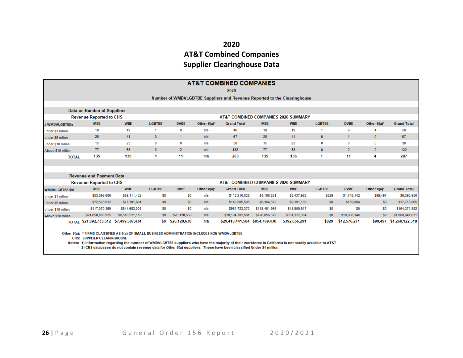### **2020 AT&T Combined Companies Supplier Clearinghouse Data**

|                       | <b>AT&amp;T COMBINED COMPANIES</b>                                                                                                    |                 |                |                |                |                                      |               |               |               |                |                |                    |  |
|-----------------------|---------------------------------------------------------------------------------------------------------------------------------------|-----------------|----------------|----------------|----------------|--------------------------------------|---------------|---------------|---------------|----------------|----------------|--------------------|--|
|                       | 2020                                                                                                                                  |                 |                |                |                |                                      |               |               |               |                |                |                    |  |
|                       | Number of WMDVLGBTBE Suppliers and Revenue Reported to the Clearinghouse                                                              |                 |                |                |                |                                      |               |               |               |                |                |                    |  |
|                       |                                                                                                                                       |                 |                |                |                |                                      |               |               |               |                |                |                    |  |
|                       | Data on Number of Suppliers                                                                                                           |                 |                |                |                |                                      |               |               |               |                |                |                    |  |
|                       | <b>Revenue Reported to CHS</b>                                                                                                        |                 |                |                |                | AT&T COMBINED COMPANIES 2020 SUMMARY |               |               |               |                |                |                    |  |
| # WMDVLGBTBEs         | <b>MBE</b>                                                                                                                            | <b>WBE</b>      | <b>LGBTBE</b>  | <b>DVBE</b>    | Other $8(a)^*$ | <b>Grand Total</b>                   | <b>MBE</b>    | <b>WBE</b>    | <b>LGBTBE</b> | <b>DVBE</b>    | Other $8(a)^*$ | <b>Grand Total</b> |  |
| Under \$1 million     | 18                                                                                                                                    | 19              | 1              | 8              | n/a            | 46                                   | 18            | 19            |               | 8              |                | 50                 |  |
| Under \$5 million     | 25                                                                                                                                    | 41              | $\mathbf{0}$   | $\mathbf{1}$   | n/a            | 67                                   | 25            | 41            | $\mathbf{0}$  | $\mathbf{1}$   | $\mathbf{0}$   | 67                 |  |
| Under \$10 million    | 15                                                                                                                                    | 23              | 0              | 0              | n/a            | 38                                   | 15            | 23            | 0             | $\bf{0}$       | $\bf{0}$       | 38                 |  |
| Above \$10 million    | 77                                                                                                                                    | 53              | $\bullet$      | $\overline{2}$ | n/a            | 132                                  | 77            | 53            | $\mathbf{0}$  | $\overline{2}$ | $\bullet$      | 132                |  |
| <b>TOTAL</b>          | <b>135</b>                                                                                                                            | 136             | 1              | <u>11</u>      | n/a            | 283                                  | 135           | 136           | 1             | 11             | 4              | 287                |  |
|                       |                                                                                                                                       |                 |                |                |                |                                      |               |               |               |                |                |                    |  |
|                       |                                                                                                                                       |                 |                |                |                |                                      |               |               |               |                |                |                    |  |
|                       | <b>Revenue and Payment Data</b>                                                                                                       |                 |                |                |                |                                      |               |               |               |                |                |                    |  |
|                       | <b>Revenue Reported to CHS</b>                                                                                                        |                 |                |                |                | AT&T COMBINED COMPANIES 2020 SUMMARY |               |               |               |                |                |                    |  |
| <b>WMDVLGBTBE \$M</b> | <b>MBE</b>                                                                                                                            | <b>WBE</b>      | <b>LGBTBE</b>  | <b>DVBE</b>    | Other $8(a)^*$ | <b>Grand Total</b>                   | <b>MBE</b>    | <b>WBE</b>    | <b>LGBTBE</b> | <b>DVBE</b>    | Other $8(a)^*$ | <b>Grand Total</b> |  |
| Under \$1 million     | \$53,098,606                                                                                                                          | \$59,111,422    | S0             | S <sub>0</sub> | n/a            | \$112,210,028                        | \$4,106,521   | \$3,437,962   | \$829         | \$1,748,142    | \$99,497       | \$9,392,950        |  |
| Under \$5 million     | \$72,503,612                                                                                                                          | \$77,301,894    | \$0            | \$0            | n/a            | \$149,805,506                        | \$8,364,572   | \$9,191,109   | \$0           | \$159,984      | \$0            | \$17,715,665       |  |
| Under \$10 million    | \$117,070,369                                                                                                                         | \$844,653,001   | SO.            | S <sub>0</sub> | n/a            | \$961,723,370                        | \$115,461,965 | \$48,909,917  | \$0           | S <sub>0</sub> | S <sub>0</sub> | \$164,371,882      |  |
| Above \$10 million    | \$21,650,060,925                                                                                                                      | \$6,518,521,119 | S <sub>0</sub> | \$26,120,638   | n/a            | \$28,194,702,681                     | \$726,856,372 | \$331,117,304 | \$0           | \$10,668,146   | \$0            | \$1,068,641,821    |  |
| <b>TOTAL</b>          | \$21,892,733,512 \$7,499,587,434                                                                                                      |                 | \$0            | \$26,120,638   | n/a            | \$29,418,441,584                     | \$854,789,430 | \$392,656,291 | \$829         | \$12,576,271   | \$99,497       | \$1,260,122,318    |  |
|                       | Other 8(a): * FIRMS CLASSIFIED AS 8(a) OF SMALL BUSINESS ADMINISTRATION INCLUDES NON-WMDVLGBTBE<br><b>CHS: SUPPLIER CLEARINGHOUSE</b> |                 |                |                |                |                                      |               |               |               |                |                |                    |  |
|                       |                                                                                                                                       |                 |                |                |                | .                                    |               |               |               |                |                |                    |  |

Notes: 1) Information regarding the number of WMDVLGBTBE suppliers who have the majority of their workforce in California is not readily available to AT&T 2) CHS databases do not contain revenue data for Other 8(a) suppliers. These have been classified Under \$1 million.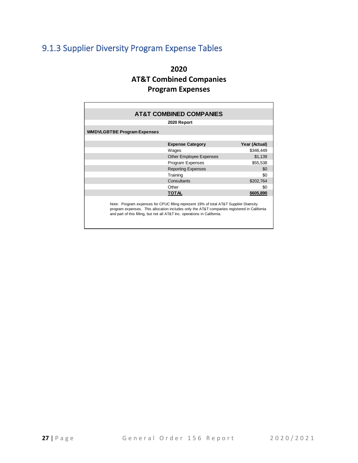# <span id="page-28-0"></span>9.1.3 Supplier Diversity Program Expense Tables

### **2020 AT&T Combined Companies Program Expenses**

<span id="page-28-1"></span>

|                                                                                                                                                                                                                                                                    | <b>AT&amp;T COMBINED COMPANIES</b> |               |  |  |  |  |  |  |
|--------------------------------------------------------------------------------------------------------------------------------------------------------------------------------------------------------------------------------------------------------------------|------------------------------------|---------------|--|--|--|--|--|--|
|                                                                                                                                                                                                                                                                    | 2020 Report                        |               |  |  |  |  |  |  |
| <b>WMDVLGBTBE Program Expenses</b>                                                                                                                                                                                                                                 |                                    |               |  |  |  |  |  |  |
|                                                                                                                                                                                                                                                                    |                                    |               |  |  |  |  |  |  |
|                                                                                                                                                                                                                                                                    | <b>Expense Category</b>            | Year (Actual) |  |  |  |  |  |  |
|                                                                                                                                                                                                                                                                    | Wages                              | \$346,449     |  |  |  |  |  |  |
|                                                                                                                                                                                                                                                                    | <b>Other Employee Expenses</b>     | \$1,139       |  |  |  |  |  |  |
|                                                                                                                                                                                                                                                                    | Program Expenses                   | \$55,538      |  |  |  |  |  |  |
|                                                                                                                                                                                                                                                                    | <b>Reporting Expenses</b>          | \$0           |  |  |  |  |  |  |
|                                                                                                                                                                                                                                                                    | Training                           | \$0           |  |  |  |  |  |  |
|                                                                                                                                                                                                                                                                    | Consultants                        | \$202,764     |  |  |  |  |  |  |
|                                                                                                                                                                                                                                                                    | Other                              | \$0           |  |  |  |  |  |  |
|                                                                                                                                                                                                                                                                    | TOTAL                              | \$605,890     |  |  |  |  |  |  |
| Note: Program expenses for CPUC filling represent 19% of total AT&T Supplier Diversity<br>program expenses. This allocation includes only the AT&T companies registered in California<br>and part of this filling, but not all AT&T Inc. operations in California. |                                    |               |  |  |  |  |  |  |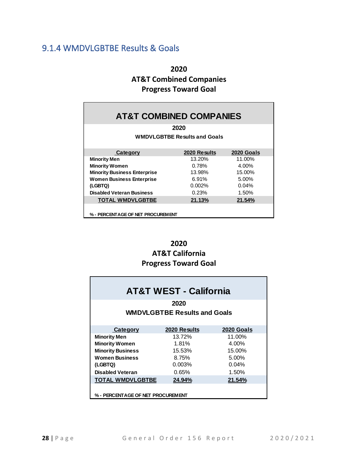### 9.1.4 WMDVLGBTBE Results & Goals

**2020 AT&T Combined Companies Progress Toward Goal**

| <b>AT&amp;T COMBINED COMPANIES</b>  |                                     |            |  |  |  |  |  |  |  |
|-------------------------------------|-------------------------------------|------------|--|--|--|--|--|--|--|
| 2020                                |                                     |            |  |  |  |  |  |  |  |
|                                     | <b>WMDVLGBTBE Results and Goals</b> |            |  |  |  |  |  |  |  |
|                                     |                                     |            |  |  |  |  |  |  |  |
| Category                            | 2020 Results                        | 2020 Goals |  |  |  |  |  |  |  |
| <b>Minority Men</b>                 | 13.20%                              | 11.00%     |  |  |  |  |  |  |  |
| <b>Minority Women</b>               | 0.78%                               | 4.00%      |  |  |  |  |  |  |  |
| <b>Minority Business Enterprise</b> | 13.98%                              | 15.00%     |  |  |  |  |  |  |  |
| <b>Women Business Enterprise</b>    | 6.91%                               | 5.00%      |  |  |  |  |  |  |  |
| (LGBTQ)                             | 0.002%                              | 0.04%      |  |  |  |  |  |  |  |
| <b>Disabled Veteran Business</b>    | 0.23%                               | 1.50%      |  |  |  |  |  |  |  |
| <b>TOTAL WMDVLGBTBE</b>             | 21.13%                              | 21.54%     |  |  |  |  |  |  |  |
|                                     |                                     |            |  |  |  |  |  |  |  |
| % - PERCENTAGE OF NET PROCUREMENT   |                                     |            |  |  |  |  |  |  |  |

### **2020 AT&T California Progress Toward Goal**

| <b>AT&amp;T WEST - California</b>           |              |            |  |  |  |  |  |  |  |
|---------------------------------------------|--------------|------------|--|--|--|--|--|--|--|
| 2020<br><b>WMDVLGBTBE Results and Goals</b> |              |            |  |  |  |  |  |  |  |
|                                             |              |            |  |  |  |  |  |  |  |
| <b>Category</b>                             | 2020 Results | 2020 Goals |  |  |  |  |  |  |  |
| <b>Minority Men</b>                         | 13.72%       | 11.00%     |  |  |  |  |  |  |  |
| <b>Minority Women</b>                       | 1.81%        | 4.00%      |  |  |  |  |  |  |  |
| <b>Minority Business</b>                    | 15.53%       | 15.00%     |  |  |  |  |  |  |  |
| <b>Women Business</b>                       | 8.75%        | 5.00%      |  |  |  |  |  |  |  |
| (LGBTQ)                                     | 0.003%       | 0.04%      |  |  |  |  |  |  |  |
| <b>Disabled Veteran</b>                     | 0.65%        | 1.50%      |  |  |  |  |  |  |  |
| <b>TOTAL WMDVLGBTBE</b>                     | 24.94%       | 21.54%     |  |  |  |  |  |  |  |
| % - PERCENTAGE OF NET PROCUREMENT           |              |            |  |  |  |  |  |  |  |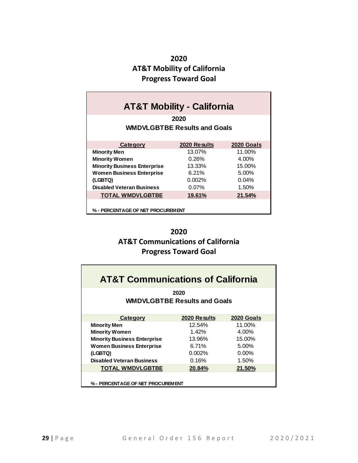### **2020 AT&T Mobility of California Progress Toward Goal**

| <b>AT&amp;T Mobility - California</b>       |              |            |  |  |  |  |  |  |  |
|---------------------------------------------|--------------|------------|--|--|--|--|--|--|--|
| 2020<br><b>WMDVLGBTBE Results and Goals</b> |              |            |  |  |  |  |  |  |  |
|                                             |              |            |  |  |  |  |  |  |  |
| Category                                    | 2020 Results | 2020 Goals |  |  |  |  |  |  |  |
| <b>Minority Men</b>                         | 13.07%       | 11.00%     |  |  |  |  |  |  |  |
| <b>Minority Women</b>                       | 0.26%        | 4.00%      |  |  |  |  |  |  |  |
| <b>Minority Business Enterprise</b>         | 13.33%       | 15.00%     |  |  |  |  |  |  |  |
| <b>Women Business Enterprise</b>            | 6.21%        | 5.00%      |  |  |  |  |  |  |  |
| (LGBTQ)                                     | 0.002%       | 0.04%      |  |  |  |  |  |  |  |
| <b>Disabled Veteran Business</b>            | $0.07\%$     | 1.50%      |  |  |  |  |  |  |  |
| <b>TOTAL WMDVLGBTBE</b>                     | 19.61%       | 21.54%     |  |  |  |  |  |  |  |
| % - PERCENTAGE OF NET PROCUREMENT           |              |            |  |  |  |  |  |  |  |

**2020 AT&T Communications of California Progress Toward Goal**

| <b>AT&amp;T Communications of California</b> |              |            |  |  |  |  |  |  |  |
|----------------------------------------------|--------------|------------|--|--|--|--|--|--|--|
| 2020<br><b>WMDVLGBTBE Results and Goals</b>  |              |            |  |  |  |  |  |  |  |
| Category                                     | 2020 Results | 2020 Goals |  |  |  |  |  |  |  |
| <b>Minority Men</b>                          | 12.54%       | 11.00%     |  |  |  |  |  |  |  |
| <b>Minority Women</b>                        | 1.42%        | 4.00%      |  |  |  |  |  |  |  |
| <b>Minority Business Enterprise</b>          | 13.96%       | 15.00%     |  |  |  |  |  |  |  |
| <b>Women Business Enterprise</b>             | 6.71%        | 5.00%      |  |  |  |  |  |  |  |
| (LGBTQ)                                      | 0.002%       | $0.00\%$   |  |  |  |  |  |  |  |
| <b>Disabled Veteran Business</b>             | 0.16%        | 1.50%      |  |  |  |  |  |  |  |
| <b>TOTAL WMDVLGBTBE</b>                      | 20.84%       | 21.50%     |  |  |  |  |  |  |  |
| % - PERCENTAGE OF NET PROCUREMENT            |              |            |  |  |  |  |  |  |  |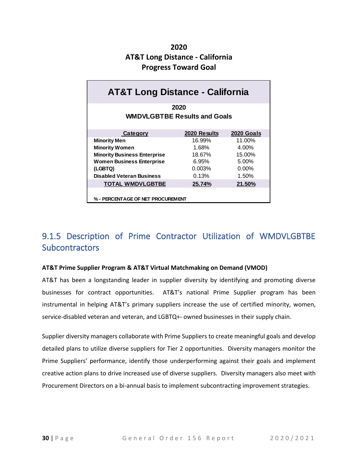### **2020 AT&T Long Distance - California Progress Toward Goal**

| <b>AT&amp;T Long Distance - California</b>  |              |                   |  |  |  |  |  |  |  |  |
|---------------------------------------------|--------------|-------------------|--|--|--|--|--|--|--|--|
| 2020<br><b>WMDVLGBTBE Results and Goals</b> |              |                   |  |  |  |  |  |  |  |  |
| <b>Category</b>                             | 2020 Results | <b>2020 Goals</b> |  |  |  |  |  |  |  |  |
| <b>Minority Men</b>                         | 16.99%       | 11.00%            |  |  |  |  |  |  |  |  |
| <b>Minority Women</b>                       | 1.68%        | 4.00%             |  |  |  |  |  |  |  |  |
| <b>Minority Business Enterprise</b>         | 18.67%       | 15.00%            |  |  |  |  |  |  |  |  |
| <b>Women Business Enterprise</b>            | 6.95%        | 5.00%             |  |  |  |  |  |  |  |  |
| (LGBTQ)                                     | 0.003%       | $0.00\%$          |  |  |  |  |  |  |  |  |
| <b>Disabled Veteran Business</b>            | 0.13%        | 1.50%             |  |  |  |  |  |  |  |  |
| <b>TOTAL WMDVLGBTBE</b>                     | 25.74%       | 21.50%            |  |  |  |  |  |  |  |  |
| % - PERCENTAGE OF NET PROCUREMENT           |              |                   |  |  |  |  |  |  |  |  |

# <span id="page-31-0"></span>9.1.5 Description of Prime Contractor Utilization of WMDVLGBTBE **Subcontractors**

#### **AT&T Prime Supplier Program & AT&T Virtual Matchmaking on Demand (VMOD)**

AT&T has been a longstanding leader in supplier diversity by identifying and promoting diverse businesses for contract opportunities. AT&T's national Prime Supplier program has been instrumental in helping AT&T's primary suppliers increase the use of certified minority, women, service-disabled veteran and veteran, and LGBTQ+- owned businesses in their supply chain.

Supplier diversity managers collaborate with Prime Suppliers to create meaningful goals and develop detailed plans to utilize diverse suppliers for Tier 2 opportunities. Diversity managers monitor the Prime Suppliers' performance, identify those underperforming against their goals and implement creative action plans to drive increased use of diverse suppliers. Diversity managers also meet with Procurement Directors on a bi-annual basis to implement subcontracting improvement strategies.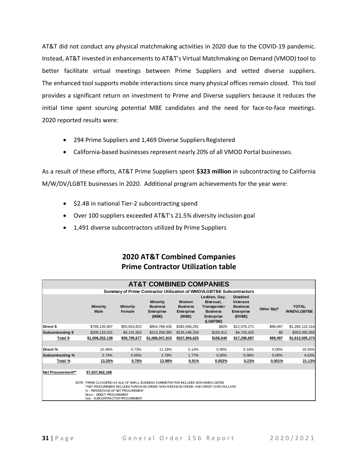AT&T did not conduct any physical matchmaking activities in 2020 due to the COVID-19 pandemic. Instead, AT&T invested in enhancements to AT&T's Virtual Matchmaking on Demand (VMOD) tool to better facilitate virtual meetings between Prime Suppliers and vetted diverse suppliers. The enhanced tool supports mobile interactions since many physical offices remain closed. This tool provides a significant return on investment to Prime and Diverse suppliers because it reduces the initial time spent sourcing potential MBE candidates and the need for face-to-face meetings. 2020 reported results were:

- 294 Prime Suppliers and 1,469 Diverse Suppliers Registered
- California‐based businesses represent nearly 20% of all VMOD Portal businesses.

As a result of these efforts, AT&T Prime Suppliers spent **\$323 million** in subcontracting to California M/W/DV/LGBTE businesses in 2020. Additional program achievements for the year were:

- \$2.4B in national Tier-2 subcontracting spend
- Over 100 suppliers exceeded AT&T's 21.5% diversity inclusion goal
- 1,491 diverse subcontractors utilized by Prime Suppliers

### **2020 AT&T Combined Companies Prime Contractor Utilization table**

|                   |                                                                                                                                                                                                                                                                                           |                           | <b>AT&amp;T COMBINED COMPANIES</b>                                   |                                                 |                                                                                        |                                                                                      |                |                                   |
|-------------------|-------------------------------------------------------------------------------------------------------------------------------------------------------------------------------------------------------------------------------------------------------------------------------------------|---------------------------|----------------------------------------------------------------------|-------------------------------------------------|----------------------------------------------------------------------------------------|--------------------------------------------------------------------------------------|----------------|-----------------------------------|
|                   |                                                                                                                                                                                                                                                                                           |                           | Summary of Prime Contractor Utilization of WMDVLGBTBE Subcontractors |                                                 |                                                                                        |                                                                                      |                |                                   |
|                   | <b>Minority</b><br>Male                                                                                                                                                                                                                                                                   | <b>Minority</b><br>Female | <b>Minority</b><br><b>Business</b><br>Enterprise<br>(MBE)            | Women<br><b>Business</b><br>Enterprise<br>(WBE) | Lesbian, Gay,<br>Bisexual,<br>Transgender<br><b>Business</b><br>Enterprise<br>(LGBTBE) | <b>Disabled</b><br><b>Veterans</b><br><b>Business</b><br><b>Enterprise</b><br>(DVBE) | Other $8(a)^*$ | <b>TOTAL</b><br><b>WMDVLGBTBE</b> |
| Direct \$         | \$799,135,607                                                                                                                                                                                                                                                                             | \$55,653,823              | \$854,789,430                                                        | \$392,656,291                                   | \$829                                                                                  | \$12,576,271                                                                         | \$99,497       | \$1,260,122,318                   |
| Subcontracting \$ | \$209,116,531                                                                                                                                                                                                                                                                             | \$4,141,853               | \$213,258,385                                                        | \$135,248,334                                   | \$155,811                                                                              | \$4,720,425                                                                          | \$0            | \$353,382,955                     |
| Total \$          | \$1,008,252,138                                                                                                                                                                                                                                                                           | \$59,795,677              | \$1,068,047,815                                                      | \$527,904,625                                   | \$156,640                                                                              | \$17,296,697                                                                         | \$99,497       | \$1,613,505,273                   |
|                   |                                                                                                                                                                                                                                                                                           |                           |                                                                      |                                                 |                                                                                        |                                                                                      |                |                                   |
| Direct %          | 10.46%                                                                                                                                                                                                                                                                                    | 0.73%                     | 11.19%                                                               | 5.14%                                           | $0.00\%$                                                                               | 0.16%                                                                                | 0.00%          | 16.50%                            |
| Subcontracting %  | 2.74%                                                                                                                                                                                                                                                                                     | 0.05%                     | 2.79%                                                                | 1.77%                                           | 0.00%                                                                                  | 0.06%                                                                                | 0.00%          | 4.63%                             |
| Total %           | 13.20%                                                                                                                                                                                                                                                                                    | 0.78%                     | 13.98%                                                               | 6.91%                                           | 0.002%                                                                                 | 0.23%                                                                                | 0.001%         | 21.13%                            |
|                   |                                                                                                                                                                                                                                                                                           |                           |                                                                      |                                                 |                                                                                        |                                                                                      |                |                                   |
| Net Procurement** | \$7,637,662,168                                                                                                                                                                                                                                                                           |                           |                                                                      |                                                 |                                                                                        |                                                                                      |                |                                   |
|                   | NOTE: *FIRMS CLASSIFIED AS 8(a) OF SMALL BUSINESS ADMINISTRATION INCLUDES NON-WMDVLGBTBE<br>**NET PROCUREMENT INCLUDES PURCHASE ORDER, NON-PURCHASE ORDER, AND CREDIT CARD DOLLARS<br>% - PERCENTAGE OF NET PROCUREMENT<br>Direct - DIRECT PROCUREMENT<br>Sub - SUBCONTRACTOR PROCUREMENT |                           |                                                                      |                                                 |                                                                                        |                                                                                      |                |                                   |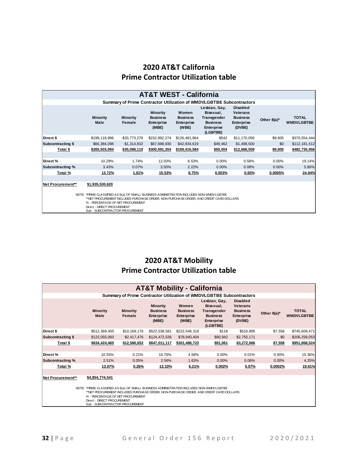### **2020 AT&T California Prime Contractor Utilization table**

|                   |                                                                                                                                                                                                                           |                           | <b>AT&amp;T WEST - California</b>                                |                                                 |                                                                                        |                                                                                      |                |                                   |  |  |  |
|-------------------|---------------------------------------------------------------------------------------------------------------------------------------------------------------------------------------------------------------------------|---------------------------|------------------------------------------------------------------|-------------------------------------------------|----------------------------------------------------------------------------------------|--------------------------------------------------------------------------------------|----------------|-----------------------------------|--|--|--|
|                   |                                                                                                                                                                                                                           |                           |                                                                  |                                                 | Summary of Prime Contractor Utilization of WMDVLGBTBE Subcontractors                   |                                                                                      |                |                                   |  |  |  |
|                   | <b>Minority</b><br>Male                                                                                                                                                                                                   | <b>Minority</b><br>Female | <b>Minority</b><br><b>Business</b><br><b>Enterprise</b><br>(MBE) | Women<br><b>Business</b><br>Enterprise<br>(WBE) | Lesbian, Gay,<br>Bisexual,<br>Transgender<br><b>Business</b><br>Enterprise<br>(LGBTBE) | <b>Disabled</b><br><b>Veterans</b><br><b>Business</b><br><b>Enterprise</b><br>(DVBE) | Other $8(a)^*$ | <b>TOTAL</b><br><b>WMDVLGBTBE</b> |  |  |  |
| Direct \$         | \$199,118,996                                                                                                                                                                                                             | \$33,773,278              | \$232,892,274                                                    | \$126,481,964                                   | \$542                                                                                  | \$11,170,059                                                                         | \$9,605        | \$370,554,444                     |  |  |  |
| Subcontracting \$ | \$66,384,098                                                                                                                                                                                                              | \$1,314,832               | \$67,698,930                                                     | \$42,934,619                                    | \$49,462                                                                               | \$1,498,500                                                                          | \$0            | \$112,181,512                     |  |  |  |
| Total \$          | \$265,503,094                                                                                                                                                                                                             | \$35,088,110              | \$300,591,204                                                    | \$169,416,584                                   | \$50,004                                                                               | \$12,668,559                                                                         | \$9,605        | \$482,735,956                     |  |  |  |
|                   |                                                                                                                                                                                                                           |                           |                                                                  |                                                 |                                                                                        |                                                                                      |                |                                   |  |  |  |
| Direct %          | 10.29%                                                                                                                                                                                                                    | 1.74%                     | 12.03%                                                           | 6.53%                                           | 0.00%                                                                                  | 0.58%                                                                                | 0.00%          | 19.14%                            |  |  |  |
| Subcontracting %  | 3.43%                                                                                                                                                                                                                     | 0.07%                     | 3.50%                                                            | 2.22%                                           | 0.00%                                                                                  | 0.08%                                                                                | 0.00%          | 5.80%                             |  |  |  |
| Total %           | 13.72%                                                                                                                                                                                                                    | 1.81%                     | 15.53%                                                           | 8.75%                                           | 0.003%                                                                                 | 0.65%                                                                                | 0.0005%        | 24.94%                            |  |  |  |
|                   |                                                                                                                                                                                                                           |                           |                                                                  |                                                 |                                                                                        |                                                                                      |                |                                   |  |  |  |
| Net Procurement** | \$1,935,530,620                                                                                                                                                                                                           |                           |                                                                  |                                                 |                                                                                        |                                                                                      |                |                                   |  |  |  |
|                   | NOTE: *FIRMS CLASSIFIED AS 8(a) OF SMALL BUSINESS ADMINISTRATION INCLUDES NON-WMDVLGBTBE<br>**NET PROCUREMENT INCLUDES PURCHA SE ORDER, NON-PURCHA SE ORDER, AND CREDIT CARD DOLLARS<br>% - PERCENTAGE OF NET PROCUREMENT |                           |                                                                  |                                                 |                                                                                        |                                                                                      |                |                                   |  |  |  |

% - PERCENTAGE OF NET PROCUREMENT Direct - DIRECT PROCUREMENT Sub - SUBCONTRACTOR PROCUREMENT

### **2020 AT&T Mobility Prime Contractor Utilization table**

|                                                                                                                                                                                                                                                                                           |                         |                           | <b>AT&amp;T Mobility - California</b>                     |                                                 |                                                                                        |                                                                                      |             |                                   |  |  |
|-------------------------------------------------------------------------------------------------------------------------------------------------------------------------------------------------------------------------------------------------------------------------------------------|-------------------------|---------------------------|-----------------------------------------------------------|-------------------------------------------------|----------------------------------------------------------------------------------------|--------------------------------------------------------------------------------------|-------------|-----------------------------------|--|--|
|                                                                                                                                                                                                                                                                                           |                         |                           |                                                           |                                                 | Summary of Prime Contractor Utilization of WMDVLGBTBE Subcontractors                   |                                                                                      |             |                                   |  |  |
|                                                                                                                                                                                                                                                                                           | <b>Minority</b><br>Male | <b>Minority</b><br>Female | <b>Minority</b><br><b>Business</b><br>Enterprise<br>(MBE) | Women<br><b>Business</b><br>Enterprise<br>(WBE) | Lesbian, Gay,<br>Bisexual,<br>Transgender<br><b>Business</b><br>Enterprise<br>(LGBTBE) | <b>Disabled</b><br><b>Veterans</b><br><b>Business</b><br><b>Enterprise</b><br>(DVBE) | Other 8(a)* | <b>TOTAL</b><br><b>WMDVLGBTBE</b> |  |  |
| Direct \$                                                                                                                                                                                                                                                                                 | \$512,369,405           | \$10,169,176              | \$522,538,581                                             | \$222,546,319                                   | \$118                                                                                  | \$516,895                                                                            | \$7,558     | \$745,609,471                     |  |  |
| Subcontracting \$                                                                                                                                                                                                                                                                         | \$122,055,060           | \$2,417,476               | \$124,472,536                                             | \$78,940,404                                    | \$90,942                                                                               | \$2,755,171                                                                          | \$0         | \$206,259,053                     |  |  |
| <u>Total \$</u>                                                                                                                                                                                                                                                                           | \$634,424,465           | \$12,586,652              | \$647,011,117                                             | \$301,486,723                                   | \$91,061                                                                               | \$3,272,066                                                                          | \$7,558     | \$951,868,524                     |  |  |
| Direct %                                                                                                                                                                                                                                                                                  | 10.55%                  | 0.21%                     | 10.76%                                                    | 4.58%                                           | $0.00\%$                                                                               | 0.01%                                                                                | 0.00%       | 15.36%                            |  |  |
| Subcontracting %                                                                                                                                                                                                                                                                          | 2.51%                   | 0.05%                     | 2.56%                                                     | 1.63%                                           | 0.00%                                                                                  | 0.06%                                                                                | 0.00%       | 4.25%                             |  |  |
| Total %                                                                                                                                                                                                                                                                                   | 13.07%                  | 0.26%                     | 13.33%                                                    | 6.21%                                           | 0.002%                                                                                 | 0.07%                                                                                | 0.0002%     | 19.61%                            |  |  |
|                                                                                                                                                                                                                                                                                           |                         |                           |                                                           |                                                 |                                                                                        |                                                                                      |             |                                   |  |  |
| Net Procurement**                                                                                                                                                                                                                                                                         | \$4,854,774,541         |                           |                                                           |                                                 |                                                                                        |                                                                                      |             |                                   |  |  |
| NOTE: *FIRMS CLASSIFIED AS 8(a) OF SMALL BUSINESS ADMINISTRATION INCLUDES NON-WMDVLGBTBE<br>**NET PROCUREMENT INCLUDES PURCHASE ORDER. NON-PURCHASE ORDER. AND CREDIT CARD DOLLARS<br>% - PERCENTAGE OF NET PROCUREMENT<br>Direct - DIRECT PROCUREMENT<br>Sub - SUBCONTRACTOR PROCUREMENT |                         |                           |                                                           |                                                 |                                                                                        |                                                                                      |             |                                   |  |  |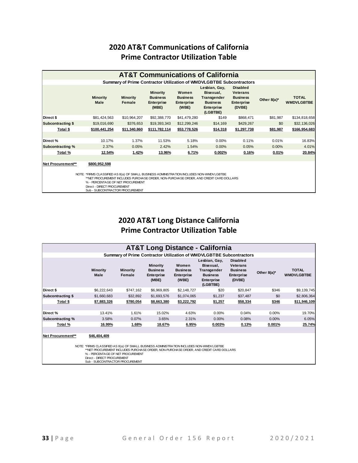### **2020 AT&T Communications of California Prime Contractor Utilization Table**

| <b>AT&amp;T Communications of California</b>                                                                                                                                                                                                                                                                                    |                         |                           |                                                           |                                                 |                                                                                               |                                                                                      |                |                                   |  |  |  |  |  |  |
|---------------------------------------------------------------------------------------------------------------------------------------------------------------------------------------------------------------------------------------------------------------------------------------------------------------------------------|-------------------------|---------------------------|-----------------------------------------------------------|-------------------------------------------------|-----------------------------------------------------------------------------------------------|--------------------------------------------------------------------------------------|----------------|-----------------------------------|--|--|--|--|--|--|
| Summary of Prime Contractor Utilization of WMDVLGBTBE Subcontractors                                                                                                                                                                                                                                                            |                         |                           |                                                           |                                                 |                                                                                               |                                                                                      |                |                                   |  |  |  |  |  |  |
|                                                                                                                                                                                                                                                                                                                                 | <b>Minority</b><br>Male | <b>Minority</b><br>Female | <b>Minority</b><br><b>Business</b><br>Enterprise<br>(MBE) | Women<br><b>Business</b><br>Enterprise<br>(WBE) | Lesbian, Gay,<br>Bisexual,<br>Transgender<br><b>Business</b><br><b>Enterprise</b><br>(LGBTBE) | <b>Disabled</b><br><b>Veterans</b><br><b>Business</b><br><b>Enterprise</b><br>(DVBE) | Other $8(a)^*$ | <b>TOTAL</b><br><b>WMDVLGBTBE</b> |  |  |  |  |  |  |
| Direct \$                                                                                                                                                                                                                                                                                                                       | \$81,424,563            | \$10.964.207              | \$92,388,770                                              | \$41.479.280                                    | \$149                                                                                         | \$868,471                                                                            | \$81,987       | \$134,818,658                     |  |  |  |  |  |  |
| Subcontracting \$                                                                                                                                                                                                                                                                                                               | \$19,016,690            | \$376,653                 | \$19,393,343                                              | \$12,299,246                                    | \$14,169                                                                                      | \$429,267                                                                            | \$0            | \$32,136,026                      |  |  |  |  |  |  |
| Total \$                                                                                                                                                                                                                                                                                                                        | \$100,441,254           | \$11,340,860              | \$111,782,114                                             | \$53,778,526                                    | \$14,318                                                                                      | \$1,297,738                                                                          | \$81,987       | \$166,954,683                     |  |  |  |  |  |  |
|                                                                                                                                                                                                                                                                                                                                 |                         |                           |                                                           |                                                 |                                                                                               |                                                                                      |                |                                   |  |  |  |  |  |  |
| Direct%                                                                                                                                                                                                                                                                                                                         | 10.17%                  | 1.37%                     | 11.53%                                                    | 5.18%                                           | 0.00%                                                                                         | 0.11%                                                                                | 0.01%          | 16.83%                            |  |  |  |  |  |  |
| Subcontracting %                                                                                                                                                                                                                                                                                                                | 2.37%                   | 0.05%                     | 2.42%                                                     | 1.54%                                           | 0.00%                                                                                         | 0.05%                                                                                | 0.00%          | 4.01%                             |  |  |  |  |  |  |
| Total %                                                                                                                                                                                                                                                                                                                         | 12.54%                  | 1.42%                     | 13.96%                                                    | 6.71%                                           | 0.002%                                                                                        | 0.16%                                                                                | 0.01%          | 20.84%                            |  |  |  |  |  |  |
|                                                                                                                                                                                                                                                                                                                                 |                         |                           |                                                           |                                                 |                                                                                               |                                                                                      |                |                                   |  |  |  |  |  |  |
| Net Procurement**<br>\$800,952,598<br>NOTE: *FIRMS CLASSIFIED AS 8(a) OF SMALL BUSINESS ADMINISTRATION INCLUDES NON-WMDVLGBTBE<br>**NET PROCUREMENT INCLUDES PURCHASE ORDER. NON-PURCHASE ORDER. AND CREDIT CARD DOLLARS<br>% - PERCENTAGE OF NET PROCUREMENT<br>Direct - DIRECT PROCUREMENT<br>Sub - SUBCONTRACTOR PROCUREMENT |                         |                           |                                                           |                                                 |                                                                                               |                                                                                      |                |                                   |  |  |  |  |  |  |

### **2020 AT&T Long Distance California Prime Contractor Utilization Table**

| <b>AT&amp;T Long Distance - California</b>                                                                                                                                                                                                                                                |                         |                           |                                                           |                                                 |                                                                                        |                                                                                      |                |                                   |  |  |  |  |  |  |
|-------------------------------------------------------------------------------------------------------------------------------------------------------------------------------------------------------------------------------------------------------------------------------------------|-------------------------|---------------------------|-----------------------------------------------------------|-------------------------------------------------|----------------------------------------------------------------------------------------|--------------------------------------------------------------------------------------|----------------|-----------------------------------|--|--|--|--|--|--|
| Summary of Prime Contractor Utilization of WMDVLGBTBE Subcontractors                                                                                                                                                                                                                      |                         |                           |                                                           |                                                 |                                                                                        |                                                                                      |                |                                   |  |  |  |  |  |  |
|                                                                                                                                                                                                                                                                                           | <b>Minority</b><br>Male | <b>Minority</b><br>Female | <b>Minority</b><br><b>Business</b><br>Enterprise<br>(MBE) | Women<br><b>Business</b><br>Enterprise<br>(WBE) | Lesbian, Gay,<br>Bisexual,<br>Transgender<br><b>Business</b><br>Enterprise<br>(LGBTBE) | <b>Disabled</b><br><b>Veterans</b><br><b>Business</b><br><b>Enterprise</b><br>(DVBE) | Other $8(a)^*$ | <b>TOTAL</b><br><b>WMDVLGBTBE</b> |  |  |  |  |  |  |
| Direct \$                                                                                                                                                                                                                                                                                 | \$6,222,643             | \$747,162                 | \$6,969,805                                               | \$2,148,727                                     | \$20                                                                                   | \$20,847                                                                             | \$346          | \$9,139,745                       |  |  |  |  |  |  |
| <b>Subcontracting \$</b>                                                                                                                                                                                                                                                                  | \$1,660,683             | \$32,892                  | \$1,693,576                                               | \$1,074,065                                     | \$1,237                                                                                | \$37,487                                                                             | \$0            | \$2,806,364                       |  |  |  |  |  |  |
| <u>Total \$</u>                                                                                                                                                                                                                                                                           | \$7,883,326             | \$780,054                 | \$8,663,380                                               | \$3,222,792                                     | \$1,257                                                                                | \$58,334                                                                             | \$346          | \$11,946,109                      |  |  |  |  |  |  |
|                                                                                                                                                                                                                                                                                           |                         |                           |                                                           |                                                 |                                                                                        |                                                                                      |                |                                   |  |  |  |  |  |  |
| Direct%                                                                                                                                                                                                                                                                                   | 13.41%                  | 1.61%                     | 15.02%                                                    | 4.63%                                           | 0.00%                                                                                  | 0.04%                                                                                | 0.00%          | 19.70%                            |  |  |  |  |  |  |
| Subcontracting %                                                                                                                                                                                                                                                                          | 3.58%                   | 0.07%                     | 3.65%                                                     | 2.31%                                           | 0.00%                                                                                  | 0.08%                                                                                | 0.00%          | 6.05%                             |  |  |  |  |  |  |
| Total %                                                                                                                                                                                                                                                                                   | 16.99%                  | <u>1.68%</u>              | 18.67%                                                    | 6.95%                                           | 0.003%                                                                                 | 0.13%                                                                                | 0.001%         | 25.74%                            |  |  |  |  |  |  |
|                                                                                                                                                                                                                                                                                           |                         |                           |                                                           |                                                 |                                                                                        |                                                                                      |                |                                   |  |  |  |  |  |  |
| Net Procurement**                                                                                                                                                                                                                                                                         | \$46,404,409            |                           |                                                           |                                                 |                                                                                        |                                                                                      |                |                                   |  |  |  |  |  |  |
| NOTE: *FIRMS CLASSIFIED AS 8(a) OF SMALL BUSINESS ADMINISTRATION INCLUDES NON-WMDVLGBTBE<br>**NET PROCUREMENT INCLUDES PURCHASE ORDER, NON-PURCHASE ORDER, AND CREDIT CARD DOLLARS<br>% - PERCENTAGE OF NET PROCUREMENT<br>Direct - DIRECT PROCUREMENT<br>Sub - SUBCONTRACTOR PROCUREMENT |                         |                           |                                                           |                                                 |                                                                                        |                                                                                      |                |                                   |  |  |  |  |  |  |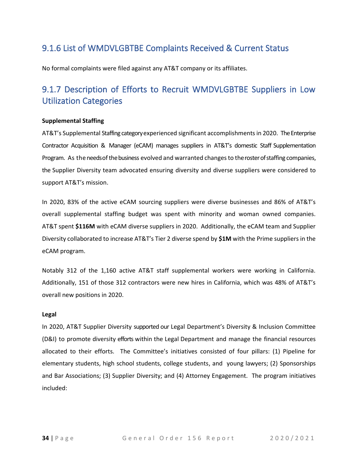### <span id="page-35-0"></span>9.1.6 List of WMDVLGBTBE Complaints Received & Current Status

No formal complaints were filed against any AT&T company or its affiliates.

# <span id="page-35-1"></span>9.1.7 Description of Efforts to Recruit WMDVLGBTBE Suppliers in Low Utilization Categories

#### **Supplemental Staffing**

AT&T's Supplemental Staffing category experienced significant accomplishments in 2020. The Enterprise Contractor Acquisition & Manager (eCAM) manages suppliers in AT&T's domestic Staff Supplementation Program. As the needs of the business evolved and warranted changes to the roster of staffing companies, the Supplier Diversity team advocated ensuring diversity and diverse suppliers were considered to support AT&T's mission.

In 2020, 83% of the active eCAM sourcing suppliers were diverse businesses and 86% of AT&T's overall supplemental staffing budget was spent with minority and woman owned companies. AT&T spent **\$116M** with eCAM diverse suppliers in 2020. Additionally, the eCAM team and Supplier Diversity collaborated to increase AT&T's Tier 2 diverse spend by **\$1M** with the Prime suppliers in the eCAM program.

Notably 312 of the 1,160 active AT&T staff supplemental workers were working in California. Additionally, 151 of those 312 contractors were new hires in California, which was 48% of AT&T's overall new positions in 2020.

#### **Legal**

In 2020, AT&T Supplier Diversity supported our Legal Department's Diversity & Inclusion Committee (D&I) to promote diversity efforts within the Legal Department and manage the financial resources allocated to their efforts. The Committee's initiatives consisted of four pillars: (1) Pipeline for elementary students, high school students, college students, and young lawyers; (2) Sponsorships and Bar Associations; (3) Supplier Diversity; and (4) Attorney Engagement. The program initiatives included: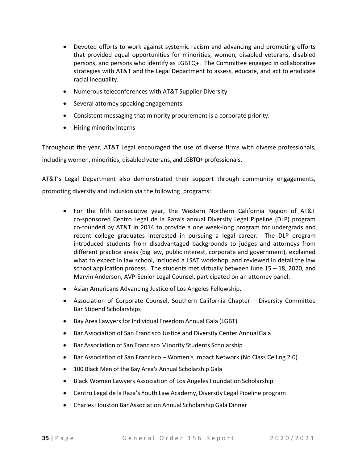- Devoted efforts to work against systemic racism and advancing and promoting efforts that provided equal opportunities for minorities, women, disabled veterans, disabled persons, and persons who identify as LGBTQ+. The Committee engaged in collaborative strategies with AT&T and the Legal Department to assess, educate, and act to eradicate racial inequality.
- Numerous teleconferences with AT&T Supplier Diversity
- Several attorney speaking engagements
- Consistent messaging that minority procurement is a corporate priority.
- Hiring minority interns

Throughout the year, AT&T Legal encouraged the use of diverse firms with diverse professionals, including women, minorities, disabled veterans, and LGBTQ+ professionals.

AT&T's Legal Department also demonstrated their support through community engagements, promoting diversity and inclusion via the following programs:

- For the fifth consecutive year, the Western Northern California Region of AT&T co-sponsored Centro Legal de la Raza's annual Diversity Legal Pipeline (DLP) program co-founded by AT&T in 2014 to provide a one week-long program for undergrads and recent college graduates interested in pursuing a legal career. The DLP program introduced students from disadvantaged backgrounds to judges and attorneys from different practice areas (big law, public interest, corporate and government), explained what to expect in law school, included a LSAT workshop, and reviewed in detail the law school application process. The students met virtually between June 15 – 18, 2020, and Marvin Anderson, AVP-Senior Legal Counsel, participated on an attorney panel.
- Asian Americans Advancing Justice of Los Angeles Fellowship.
- Association of Corporate Counsel, Southern California Chapter Diversity Committee Bar Stipend Scholarships
- Bay Area Lawyers for Individual Freedom Annual Gala (LGBT)
- Bar Association of San Francisco Justice and Diversity Center AnnualGala
- Bar Association of San Francisco Minority Students Scholarship
- Bar Association of San Francisco Women's Impact Network (No Class Ceiling 2.0)
- 100 Black Men of the Bay Area's Annual Scholarship Gala
- Black Women Lawyers Association of Los Angeles Foundation Scholarship
- Centro Legal de la Raza's Youth Law Academy, Diversity Legal Pipeline program
- Charles Houston Bar Association Annual Scholarship Gala Dinner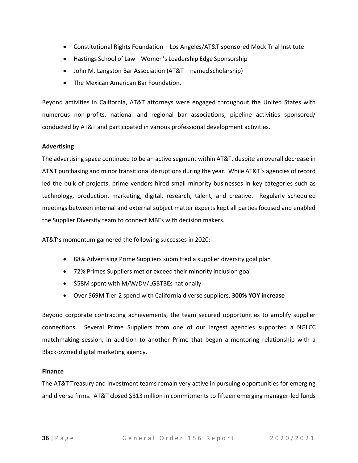- Constitutional Rights Foundation Los Angeles/AT&T sponsored Mock Trial Institute
- Hastings School of Law Women's Leadership Edge Sponsorship
- John M. Langston Bar Association (AT&T named scholarship)
- The Mexican American Bar Foundation.

Beyond activities in California, AT&T attorneys were engaged throughout the United States with numerous non-profits, national and regional bar associations, pipeline activities sponsored/ conducted by AT&T and participated in various professional development activities.

#### **Advertising**

The advertising space continued to be an active segment within AT&T, despite an overall decrease in AT&T purchasing and minor transitional disruptions during the year. While AT&T's agencies of record led the bulk of projects, prime vendors hired small minority businesses in key categories such as technology, production, marketing, digital, research, talent, and creative. Regularly scheduled meetings between internal and external subject matter experts kept all parties focused and enabled the Supplier Diversity team to connect MBEs with decision makers.

AT&T's momentum garnered the following successes in 2020:

- 88% Advertising Prime Suppliers submitted a supplier diversity goal plan
- 72% Primes Suppliers met or exceed their minority inclusion goal
- \$58M spent with M/W/DV/LGBTBEs nationally
- Over \$69M Tier-2 spend with California diverse suppliers, **300% YOY increase**

Beyond corporate contracting achievements, the team secured opportunities to amplify supplier connections. Several Prime Suppliers from one of our largest agencies supported a NGLCC matchmaking session, in addition to another Prime that began a mentoring relationship with a Black-owned digital marketing agency.

#### **Finance**

The AT&T Treasury and Investment teams remain very active in pursuing opportunities for emerging and diverse firms. AT&T closed \$313 million in commitments to fifteen emerging manager-led funds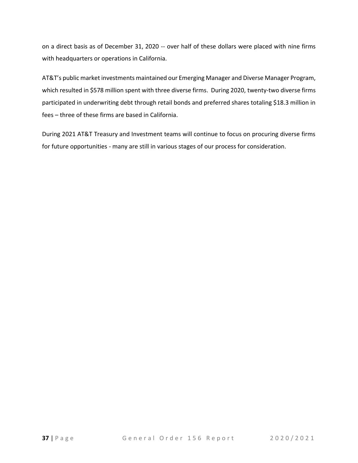on a direct basis as of December 31, 2020 -- over half of these dollars were placed with nine firms with headquarters or operations in California.

AT&T's public market investments maintained our Emerging Manager and Diverse Manager Program, which resulted in \$578 million spent with three diverse firms. During 2020, twenty-two diverse firms participated in underwriting debt through retail bonds and preferred shares totaling \$18.3 million in fees – three of these firms are based in California.

During 2021 AT&T Treasury and Investment teams will continue to focus on procuring diverse firms for future opportunities - many are still in various stages of our process for consideration.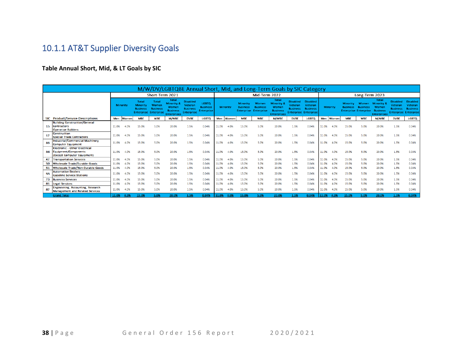# 10.1.1 AT&T Supplier Diversity Goals

#### **Table Annual Short, Mid, & LT Goals by SIC**

<span id="page-39-0"></span>

| M/W/DV/LGBTQBE Annual Short, Mid, and Long-Term Goals by SIC Category |                                                                                             |                 |          |                                      |                                                                          |                                                                                         |                                                                    |                                                      |       |                 |                                                         |                                               |                                                                              |                                                                               |                                               |       |          |                                    |                                                                 |                                                                              |                                                                               |                                               |  |  |  |
|-----------------------------------------------------------------------|---------------------------------------------------------------------------------------------|-----------------|----------|--------------------------------------|--------------------------------------------------------------------------|-----------------------------------------------------------------------------------------|--------------------------------------------------------------------|------------------------------------------------------|-------|-----------------|---------------------------------------------------------|-----------------------------------------------|------------------------------------------------------------------------------|-------------------------------------------------------------------------------|-----------------------------------------------|-------|----------|------------------------------------|-----------------------------------------------------------------|------------------------------------------------------------------------------|-------------------------------------------------------------------------------|-----------------------------------------------|--|--|--|
|                                                                       |                                                                                             | Short-Term 2021 |          |                                      |                                                                          |                                                                                         |                                                                    |                                                      |       | Mid-Term 2022   |                                                         |                                               |                                                                              |                                                                               |                                               |       |          | Long-Term 2023                     |                                                                 |                                                                              |                                                                               |                                               |  |  |  |
|                                                                       |                                                                                             |                 | Minority | <b>Total</b><br>Minority<br>Business | <b>Total</b><br>Women<br><b>Business</b><br><b>Enterprise Enterprise</b> | <b>Total</b><br><b>Minority &amp;</b><br>Women<br><b>Business</b><br><b>Enterprises</b> | <b>Disabled</b><br>Veteran<br><b>Business</b><br><b>Enterprise</b> | <b>LGBTO</b><br><b>Business</b><br><b>Enterprise</b> |       | <b>Minority</b> | <b>Minority</b><br><b>Business</b><br><b>Enterprise</b> | Women<br><b>Business</b><br><b>Enterprise</b> | <b>Total</b><br>Minority 8<br>Women<br><b>Business</b><br><b>Enterprises</b> | <b>Disabled</b><br>Veteran<br><b>Business</b><br><b>Enterprise Enterprise</b> | <b>Disabled</b><br>Veteran<br><b>Business</b> |       | Minority | <b>Minority</b><br><b>Business</b> | <b>Women</b><br><b>Business</b><br><b>Enterprise Enterprise</b> | Total<br><b>Minority 8</b><br>Women<br><b>Business</b><br><b>Enterprises</b> | <b>Disabled</b><br>Veteran<br><b>Business</b><br><b>Enterprise Enterprise</b> | <b>Disabled</b><br>Veteran<br><b>Business</b> |  |  |  |
|                                                                       | SIC Product/Service Descriptions                                                            | Men             | Women    | <b>MBE</b>                           | <b>WBE</b>                                                               | <b>M/WBE</b>                                                                            | <b>DVBE</b>                                                        | <b>LGBTQ</b>                                         |       | Men Women       | <b>MBE</b>                                              | <b>WBE</b>                                    | <b>M/WBE</b>                                                                 | <b>DVBE</b>                                                                   | <b>LGBTQ</b>                                  | Men   | Women    | <b>MBE</b>                         | <b>WBE</b>                                                      | <b>M/WBE</b>                                                                 | <b>DVBE</b>                                                                   | <b>LGBTQ</b>                                  |  |  |  |
| 15                                                                    | <b>Building Construction/General</b><br><b>Contractors</b><br><b>Operative Builders</b>     | 11.0%           | 4.0%     | 15.0%                                | 5.0%                                                                     | 20.0%                                                                                   | 1.5%                                                               | 0.04%                                                | 11.0% | 4.0%            | 15.0%                                                   | 5.0%                                          | 20.0%                                                                        | 1.5%                                                                          | 0.04%                                         | 11.0% | 4.0%     | 15.0%                              | 5.0%                                                            | 20.0%                                                                        | 1.5%                                                                          | 0.04%                                         |  |  |  |
| 17                                                                    | <b>Construction</b><br><b>Special Trade Contractors</b>                                     | 11.0%           | 4.0%     | 15.0%                                | 5.0%                                                                     | 20.0%                                                                                   | 1.5%                                                               | 0.04%                                                | 11.0% | 4.0%            | 15.0%                                                   | 5.0%                                          | 20.0%                                                                        | 1.5%                                                                          | 0.04%                                         | 11.0% | 4.0%     | 15.0%                              | 5.0%                                                            | 20.0%                                                                        | 1.5%                                                                          | 0.04%                                         |  |  |  |
| 35                                                                    | <b>Industrial/Commercial Machinery</b><br><b>Computer Equipment</b>                         | 11.0%           | 4.0%     | 15.0%                                | 5.0%                                                                     | 20.0%                                                                                   | 1.5%                                                               | 0.04%                                                | 11.0% | 4.0%            | 15.0%                                                   | 5.0%                                          | 20.0%                                                                        | 1.5%                                                                          | 0.04%                                         | 11.0% | 4.0%     | 15.0%                              | 5.0%                                                            | 20.0%                                                                        | 1.5%                                                                          | 0.04%                                         |  |  |  |
| 36                                                                    | <b>Electronic - Other Electrical</b><br>Equipment/Components<br>(Except Computer Equipment) | 11.0%           | 4.0%     | 15.0%                                | 5.0%                                                                     | 20.0%                                                                                   | 1.5%                                                               | 0.04%                                                | 11.0% | 4.0%            | 15.0%                                                   | 5.0%                                          | 20.0%                                                                        | 1.5%                                                                          | 0.04%                                         | 11.0% | 4.0%     | 15.0%                              | 5.0%                                                            | 20.0%                                                                        | 1.5%                                                                          | 0.04%                                         |  |  |  |
| 47                                                                    | <b>Transportation Services</b>                                                              | 11.0%           | 4.0%     | 15.0%                                | 5.0%                                                                     | 20.0%                                                                                   | 1.5%                                                               | 0.04%                                                | 11.0% | 4.0%            | 15.0%                                                   | 5.0%                                          | 20.0%                                                                        | 1.5%                                                                          | 0.04%                                         | 11.0% |          | 15.0%                              | 5.0%                                                            | 20.0%                                                                        | 1.5%                                                                          | 0.04%                                         |  |  |  |
| 50                                                                    | Wholesale Trade/Durable Goods                                                               | 11.0%           | 4.0%     | 15.0%                                | 5.0%                                                                     | 20.0%                                                                                   | 1.5%                                                               | 0.04%                                                | 11.0% | 4.0%            | 15.0%                                                   | 5.0%                                          | 20.0%                                                                        | 1.5%                                                                          | 0.04%                                         | 11.0% | 4.0%     | 15.0%                              | 5.0%                                                            | 20.0%                                                                        | 1.5%                                                                          | 0.04%                                         |  |  |  |
| 51                                                                    | <b>Wholesale Trade/Non-Durable Goods</b>                                                    | 11.0%           | 4.0%     | 15.0%                                | 5.0%                                                                     | 20.0%                                                                                   | 1.5%                                                               | 0.04%                                                | 11.0% | 4.0%            | 15.0%                                                   | 5.0%                                          | 20.0%                                                                        | 1.5%                                                                          | 0.04%                                         | 11.0% | 4.0%     | 15.0%                              | 5.0%                                                            | 20.0%                                                                        | 1.5%                                                                          | 0.04%                                         |  |  |  |
| 55                                                                    | <b>Automotive Dealers</b><br><b>Gasoline Service Stations</b>                               | 11.0%           | 4.0%     | 15.0%                                | 5.0%                                                                     | 20.0%                                                                                   | 1.5%                                                               | 0.04%                                                | 11.0% | 4.0%            | 15.0%                                                   | 5.0%                                          | 20.0%                                                                        | 1.5%                                                                          | 0.04%                                         | 11.0% | 4.0%     | 15.0%                              | 5.0%                                                            | 20.0%                                                                        | 1.5%                                                                          | 0.04%                                         |  |  |  |
| 73                                                                    | <b>Business Services</b>                                                                    | 11.0%           | 4.0%     | 15.0%                                | 5.0%                                                                     | 20.0%                                                                                   | 1.5%                                                               | 0.04%                                                | 11.0% | 4.0%            | 15.0%                                                   | 5.0%                                          | 20.0%                                                                        | 1.5%                                                                          | 0.04%                                         | 11.0% | 4.0%     | 15.0%                              | 5.0%                                                            | 20.0%                                                                        | 1.5%                                                                          | 0.04%                                         |  |  |  |
| 81                                                                    | <b>Legal Services</b>                                                                       | 11.0%           | 4.0%     | 15.0%                                | 5.0%                                                                     | 20.0%                                                                                   | 1.5%                                                               | 0.04%                                                | 11.0% | 4.0%            | 15.0%                                                   | 5.0%                                          | 20.0%                                                                        | 1.5%                                                                          | 0.04%                                         | 11.0% | 4.0%     | 15.0%                              | 5.0%                                                            | 20.0%                                                                        | 1.5%                                                                          | 0.04%                                         |  |  |  |
| 87                                                                    | Engineering, Accounting, Research<br><b>Management and Related Services</b>                 | 11.0%           | 4.0%     | 15.0%                                | 5.0%                                                                     | 20.0%                                                                                   | 1.5%                                                               | 0.04%                                                | 11.0% | 4.0%            | 15.0%                                                   | 5.0%                                          | 20.0%                                                                        | 1.5%                                                                          | 0.04%                                         | 11.0% | 4.0%     | 15.0%                              | 5.0%                                                            | 20.0%                                                                        | 1.5%                                                                          | 0.04%                                         |  |  |  |
|                                                                       | <b>Grand Total</b>                                                                          | 11.0%           | 4.0%     | 15.0%                                | 5.0%                                                                     | 20.0%                                                                                   | 1.5%                                                               | 0.04%                                                | 11.0% | 4.0%            | 15.0%                                                   | 5.0%                                          | 20.0%                                                                        | 1.5%                                                                          | 0.04%                                         | 11.0% | 4.0%     | 15.0%                              | 5.0%                                                            | 20.0%                                                                        | .5%                                                                           | 0.04%                                         |  |  |  |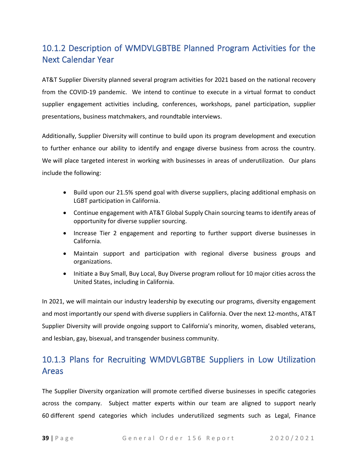# <span id="page-40-0"></span>10.1.2 Description of WMDVLGBTBE Planned Program Activities for the Next Calendar Year

AT&T Supplier Diversity planned several program activities for 2021 based on the national recovery from the COVID-19 pandemic. We intend to continue to execute in a virtual format to conduct supplier engagement activities including, conferences, workshops, panel participation, supplier presentations, business matchmakers, and roundtable interviews.

Additionally, Supplier Diversity will continue to build upon its program development and execution to further enhance our ability to identify and engage diverse business from across the country. We will place targeted interest in working with businesses in areas of underutilization. Our plans include the following:

- Build upon our 21.5% spend goal with diverse suppliers, placing additional emphasis on LGBT participation in California.
- Continue engagement with AT&T Global Supply Chain sourcing teams to identify areas of opportunity for diverse supplier sourcing.
- Increase Tier 2 engagement and reporting to further support diverse businesses in California.
- Maintain support and participation with regional diverse business groups and organizations.
- Initiate a Buy Small, Buy Local, Buy Diverse program rollout for 10 major cities across the United States, including in California.

In 2021, we will maintain our industry leadership by executing our programs, diversity engagement and most importantly our spend with diverse suppliers in California. Over the next 12-months, AT&T Supplier Diversity will provide ongoing support to California's minority, women, disabled veterans, and lesbian, gay, bisexual, and transgender business community.

# <span id="page-40-1"></span>10.1.3 Plans for Recruiting WMDVLGBTBE Suppliers in Low Utilization Areas

The Supplier Diversity organization will promote certified diverse businesses in specific categories across the company. Subject matter experts within our team are aligned to support nearly 60 different spend categories which includes underutilized segments such as Legal, Finance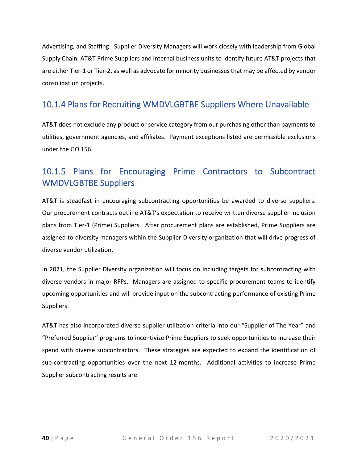Advertising, and Staffing. Supplier Diversity Managers will work closely with leadership from Global Supply Chain, AT&T Prime Suppliers and internal business units to identify future AT&T projects that are either Tier-1 or Tier-2, as well as advocate for minority businesses that may be affected by vendor consolidation projects.

### <span id="page-41-0"></span>10.1.4 Plans for Recruiting WMDVLGBTBE Suppliers Where Unavailable

AT&T does not exclude any product or service category from our purchasing other than payments to utilities, government agencies, and affiliates. Payment exceptions listed are permissible exclusions under the GO 156.

# <span id="page-41-1"></span>10.1.5 Plans for Encouraging Prime Contractors to Subcontract WMDVLGBTBE Suppliers

AT&T is steadfast in encouraging subcontracting opportunities be awarded to diverse suppliers. Our procurement contracts outline AT&T's expectation to receive written diverse supplier inclusion plans from Tier-1 (Prime) Suppliers. After procurement plans are established, Prime Suppliers are assigned to diversity managers within the Supplier Diversity organization that will drive progress of diverse vendor utilization.

In 2021, the Supplier Diversity organization will focus on including targets for subcontracting with diverse vendors in major RFPs. Managers are assigned to specific procurement teams to identify upcoming opportunities and will provide input on the subcontracting performance of existing Prime Suppliers.

AT&T has also incorporated diverse supplier utilization criteria into our "Supplier of The Year" and "Preferred Supplier" programs to incentivize Prime Suppliers to seek opportunities to increase their spend with diverse subcontractors. These strategies are expected to expand the identification of sub-contracting opportunities over the next 12-months. Additional activities to increase Prime Supplier subcontracting results are: